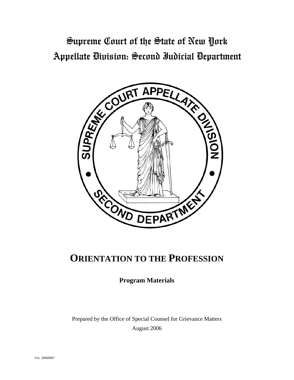# Supreme Court of the State of New York Appellate Division: Second Judicial Department



## **ORIENTATION TO THE PROFESSION**

**Program Materials** 

Prepared by the Office of Special Counsel for Grievance Matters August 2006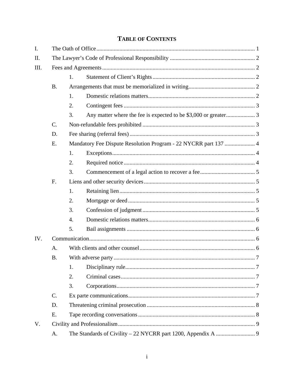### **TABLE OF CONTENTS**

| $I_{\cdot}$ |           |                                                                 |  |  |  |  |
|-------------|-----------|-----------------------------------------------------------------|--|--|--|--|
| II.         |           |                                                                 |  |  |  |  |
| III.        |           |                                                                 |  |  |  |  |
|             |           | 1.                                                              |  |  |  |  |
|             | <b>B.</b> |                                                                 |  |  |  |  |
|             |           | 1.                                                              |  |  |  |  |
|             |           | 2.                                                              |  |  |  |  |
|             |           | 3.                                                              |  |  |  |  |
|             | C.        |                                                                 |  |  |  |  |
|             | D.        |                                                                 |  |  |  |  |
|             | E.        | Mandatory Fee Dispute Resolution Program - 22 NYCRR part 137  4 |  |  |  |  |
|             |           | 1.                                                              |  |  |  |  |
|             |           | 2.                                                              |  |  |  |  |
|             |           | 3.                                                              |  |  |  |  |
|             | F.        |                                                                 |  |  |  |  |
|             |           | 1.                                                              |  |  |  |  |
|             |           | 2.                                                              |  |  |  |  |
|             |           | 3.                                                              |  |  |  |  |
|             |           | $\overline{4}$ .                                                |  |  |  |  |
|             |           | 5.                                                              |  |  |  |  |
| IV.         |           |                                                                 |  |  |  |  |
|             | A.        |                                                                 |  |  |  |  |
|             | <b>B.</b> |                                                                 |  |  |  |  |
|             |           | 1.                                                              |  |  |  |  |
|             |           | 2.                                                              |  |  |  |  |
|             |           | 3.                                                              |  |  |  |  |
|             | C.        |                                                                 |  |  |  |  |
|             | D.        |                                                                 |  |  |  |  |
|             | E.        |                                                                 |  |  |  |  |
| V.          |           |                                                                 |  |  |  |  |
|             | Α.        |                                                                 |  |  |  |  |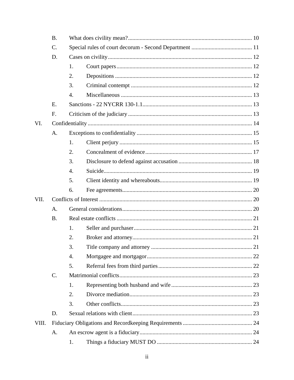|       | <b>B.</b> |                  |  |  |  |  |
|-------|-----------|------------------|--|--|--|--|
|       | C.        |                  |  |  |  |  |
|       | D.        |                  |  |  |  |  |
|       |           | 1.               |  |  |  |  |
|       |           | 2.               |  |  |  |  |
|       |           | 3.               |  |  |  |  |
|       |           | 4.               |  |  |  |  |
|       | Ε.        |                  |  |  |  |  |
|       | F.        |                  |  |  |  |  |
| VI.   |           |                  |  |  |  |  |
|       | A.        |                  |  |  |  |  |
|       |           | 1.               |  |  |  |  |
|       |           | 2.               |  |  |  |  |
|       |           | 3.               |  |  |  |  |
|       |           | $\overline{4}$ . |  |  |  |  |
|       |           | 5.               |  |  |  |  |
|       |           | 6.               |  |  |  |  |
| VII.  |           |                  |  |  |  |  |
|       | A.        |                  |  |  |  |  |
|       | <b>B.</b> |                  |  |  |  |  |
|       |           | 1.               |  |  |  |  |
|       |           | 2.               |  |  |  |  |
|       |           | 3.               |  |  |  |  |
|       |           | 4.               |  |  |  |  |
|       |           | 5.               |  |  |  |  |
|       | C.        |                  |  |  |  |  |
|       |           | 1.               |  |  |  |  |
|       |           | 2.               |  |  |  |  |
|       |           | 3.               |  |  |  |  |
|       | D.        |                  |  |  |  |  |
| VIII. |           |                  |  |  |  |  |
|       | A.        |                  |  |  |  |  |
|       |           | 1.               |  |  |  |  |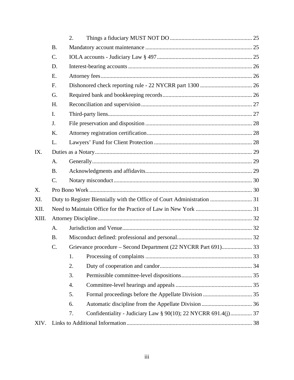|       |           | 2.                                                                   |  |
|-------|-----------|----------------------------------------------------------------------|--|
|       | <b>B.</b> |                                                                      |  |
|       | C.        |                                                                      |  |
|       | D.        |                                                                      |  |
|       | E.        |                                                                      |  |
|       | F.        |                                                                      |  |
|       | G.        |                                                                      |  |
|       | H.        |                                                                      |  |
|       | I.        |                                                                      |  |
|       | J.        |                                                                      |  |
|       | K.        |                                                                      |  |
|       | L.        |                                                                      |  |
| IX.   |           |                                                                      |  |
|       | A.        |                                                                      |  |
|       | <b>B.</b> |                                                                      |  |
|       | C.        |                                                                      |  |
| X.    |           |                                                                      |  |
| XI.   |           |                                                                      |  |
| XII.  |           |                                                                      |  |
| XIII. |           |                                                                      |  |
|       | A.        |                                                                      |  |
|       | <b>B.</b> |                                                                      |  |
|       | C.        |                                                                      |  |
|       |           | 1.                                                                   |  |
|       |           | 2.                                                                   |  |
|       |           | 3.                                                                   |  |
|       |           | 4.                                                                   |  |
|       |           | 5.                                                                   |  |
|       |           | 6.                                                                   |  |
|       |           | Confidentiality - Judiciary Law § 90(10); 22 NYCRR 691.4(j) 37<br>7. |  |
| XIV.  |           |                                                                      |  |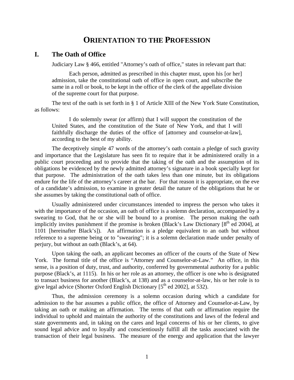### **ORIENTATION TO THE PROFESSION**

#### <span id="page-4-0"></span>**I. The Oath of Office**

Judiciary Law § 466, entitled "Attorney's oath of office," states in relevant part that:

Each person, admitted as prescribed in this chapter must, upon his [or her] admission, take the constitutional oath of office in open court, and subscribe the same in a roll or book, to be kept in the office of the clerk of the appellate division of the supreme court for that purpose.

The text of the oath is set forth in § 1 of Article XIII of the New York State Constitution, as follows:

I do solemnly swear (or affirm) that I will support the constitution of the United States, and the constitution of the State of New York, and that I will faithfully discharge the duties of the office of [attorney and counselor-at-law], according to the best of my ability.

The deceptively simple 47 words of the attorney's oath contain a pledge of such gravity and importance that the Legislature has seen fit to require that it be administered orally in a public court proceeding and to provide that the taking of the oath and the assumption of its obligations be evidenced by the newly admitted attorney's signature in a book specially kept for that purpose. The administration of the oath takes less than one minute, but its obligations endure for the life of the attorney's career at the bar. For that reason it is appropriate, on the eve of a candidate's admission, to examine in greater detail the nature of the obligations that he or she assumes by taking the constitutional oath of office.

Usually administered under circumstances intended to impress the person who takes it with the importance of the occasion, an oath of office is a solemn declaration, accompanied by a swearing to God, that he or she will be bound to a promise. The person making the oath implicitly invites punishment if the promise is broken (Black's Law Dictionary  $[8<sup>th</sup>$  ed 2004], at 1101 [hereinafter Black's]). An affirmation is a pledge equivalent to an oath but without reference to a supreme being or to "swearing"; it is a solemn declaration made under penalty of perjury, but without an oath (Black's, at 64).

Upon taking the oath, an applicant becomes an officer of the courts of the State of New York. The formal title of the office is "Attorney and Counselor-at-Law." An office, in this sense, is a position of duty, trust, and authority, conferred by governmental authority for a public purpose (Black's, at 1115). In his or her role as an attorney, the officer is one who is designated to transact business for another (Black's, at 138) and as a counselor-at-law, his or her role is to give legal advice (Shorter Oxford English Dictionary [5<sup>th</sup> ed 2002], at 532).

Thus, the admission ceremony is a solemn occasion during which a candidate for admission to the bar assumes a public office, the office of Attorney and Counselor-at-Law, by taking an oath or making an affirmation. The terms of that oath or affirmation require the individual to uphold and maintain the authority of the constitutions and laws of the federal and state governments and, in taking on the cares and legal concerns of his or her clients, to give sound legal advice and to loyally and conscientiously fulfill all the tasks associated with the transaction of their legal business. The measure of the energy and application that the lawyer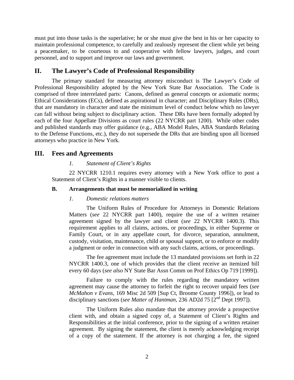<span id="page-5-0"></span>must put into those tasks is the superlative; he or she must give the best in his or her capacity to maintain professional competence, to carefully and zealously represent the client while yet being a peacemaker, to be courteous to and cooperative with fellow lawyers, judges, and court personnel, and to support and improve our laws and government.

#### **II. The Lawyer's Code of Professional Responsibility**

The primary standard for measuring attorney misconduct is The Lawyer's Code of Professional Responsibility adopted by the New York State Bar Association. The Code is comprised of three interrelated parts: Canons, defined as general concepts or axiomatic norms; Ethical Considerations (ECs), defined as aspirational in character; and Disciplinary Rules (DRs), that are mandatory in character and state the minimum level of conduct below which no lawyer can fall without being subject to disciplinary action. These DRs have been formally adopted by each of the four Appellate Divisions as court rules (22 NYCRR part 1200). While other codes and published standards may offer guidance (e.g., ABA Model Rules, ABA Standards Relating to the Defense Functions, etc.), they do not supersede the DRs that are binding upon all licensed attorneys who practice in New York.

#### **III. Fees and Agreements**

#### *1. Statement of Client's Rights*

22 NYCRR 1210.1 requires every attorney with a New York office to post a Statement of Client's Rights in a manner visible to clients.

#### **B. Arrangements that must be memorialized in writing**

#### *1. Domestic relations matters*

The Uniform Rules of Procedure for Attorneys in Domestic Relations Matters (*see* 22 NYCRR part 1400), require the use of a written retainer agreement signed by the lawyer and client (*see* 22 NYCRR 1400.3). This requirement applies to all claims, actions, or proceedings, in either Supreme or Family Court, or in any appellate court, for divorce, separation, annulment, custody, visitation, maintenance, child or spousal support, or to enforce or modify a judgment or order in connection with any such claims, actions, or proceedings.

The fee agreement must include the 13 mandated provisions set forth in 22 NYCRR 1400.3, one of which provides that the client receive an itemized bill every 60 days (*see also* NY State Bar Assn Comm on Prof Ethics Op 719 [1999]).

Failure to comply with the rules regarding the mandatory written agreement may cause the attorney to forfeit the right to recover unpaid fees (*see McMahon v Evans,* 169 Misc 2d 509 [Sup Ct, Broome County 1996]), or lead to disciplinary sanctions (*see Matter of Hantman*, 236 AD2d 75 [2<sup>nd</sup> Dept 1997]).

The Uniform Rules also mandate that the attorney provide a prospective client with, and obtain a signed copy of, a Statement of Client's Rights and Responsibilities at the initial conference, prior to the signing of a written retainer agreement. By signing the statement, the client is merely acknowledging receipt of a copy of the statement. If the attorney is not charging a fee, the signed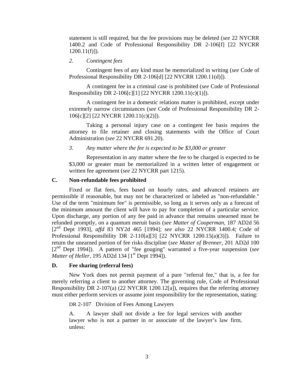<span id="page-6-0"></span>statement is still required, but the fee provisions may be deleted (*see* 22 NYCRR 1400.2 and Code of Professional Responsibility DR 2-106[f] [22 NYCRR  $1200.11(f)$ ]).

#### *2. Contingent fees*

Contingent fees of any kind must be memorialized in writing (*see* Code of Professional Responsibility DR 2-106[d] [22 NYCRR 1200.11(d)]).

A contingent fee in a criminal case is prohibited (*see* Code of Professional Responsibility DR 2-106[c][1] [22 NYCRR 1200.11(c)(1)]).

A contingent fee in a domestic relations matter is prohibited, except under extremely narrow circumstances (*see* Code of Professional Responsibility DR 2- 106[c][2] [22 NYCRR 1200.11(c)(2)]).

Taking a personal injury case on a contingent fee basis requires the attorney to file retainer and closing statements with the Office of Court Administration (*see* 22 NYCRR 691.20).

*3. Any matter where the fee is expected to be \$3,000 or greater* 

Representation in any matter where the fee to be charged is expected to be \$3,000 or greater must be memorialized in a written letter of engagement or written fee agreement (*see* 22 NYCRR part 1215).

#### **C. Non-refundable fees prohibited**

Fixed or flat fees, fees based on hourly rates, and advanced retainers are permissible if reasonable, but may not be characterized or labeled as "non-refundable." Use of the term "minimum fee" is permissible, so long as it serves only as a forecast of the minimum amount the client will have to pay for completion of a particular service. Upon discharge, any portion of any fee paid in advance that remains unearned must be refunded promptly, on a quantum meruit basis (*see Matter of Cooperman,* 187 AD2d 56 [2nd Dept 1993], *affd* 83 NY2d 465 [1994]; *see also* 22 NYCRR 1400.4; Code of Professional Responsibility DR 2-110[a][3] [22 NYCRR 1200.15(a)(3)]). Failure to return the unearned portion of fee risks discipline (*see Matter of Brenner,* 201 AD2d 100 [2nd Dept 1994]). A pattern of "fee gouging" warranted a five-year suspension (*see Matter of Heller, 195 AD2d 134 [1<sup>st</sup> Dept 1994]).* 

#### **D. Fee sharing (referral fees)**

New York does not permit payment of a pure "referral fee," that is, a fee for merely referring a client to another attorney. The governing rule, Code of Professional Responsibility DR 2-107(a) (22 NYCRR 1200.12[a]), requires that the referring attorney must either perform services or assume joint responsibility for the representation, stating:

DR 2-107 Division of Fees Among Lawyers

A. A lawyer shall not divide a fee for legal services with another lawyer who is not a partner in or associate of the lawyer's law firm, unless: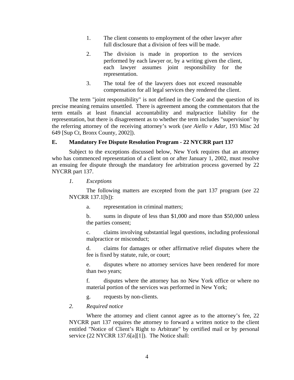- <span id="page-7-0"></span>1. The client consents to employment of the other lawyer after full disclosure that a division of fees will be made.
- 2. The division is made in proportion to the services performed by each lawyer or, by a writing given the client, each lawyer assumes joint responsibility for the representation.
- 3. The total fee of the lawyers does not exceed reasonable compensation for all legal services they rendered the client.

The term "joint responsibility" is not defined in the Code and the question of its precise meaning remains unsettled. There is agreement among the commentators that the term entails at least financial accountability and malpractice liability for the representation, but there is disagreement as to whether the term includes "supervision" by the referring attorney of the receiving attorney's work (*see Aiello v Adar,* 193 Misc 2d 649 [Sup Ct, Bronx County, 2002]).

#### **E. Mandatory Fee Dispute Resolution Program - 22 NYCRR part 137**

Subject to the exceptions discussed below, New York requires that an attorney who has commenced representation of a client on or after January 1, 2002, must resolve an ensuing fee dispute through the mandatory fee arbitration process governed by 22 NYCRR part 137.

*1. Exceptions* 

The following matters are excepted from the part 137 program (*see* 22 NYCRR 137.1[b]):

a. representation in criminal matters;

b. sums in dispute of less than \$1,000 and more than \$50,000 unless the parties consent;

c. claims involving substantial legal questions, including professional malpractice or misconduct;

d. claims for damages or other affirmative relief disputes where the fee is fixed by statute, rule, or court;

e. disputes where no attorney services have been rendered for more than two years;

f. disputes where the attorney has no New York office or where no material portion of the services was performed in New York;

g. requests by non-clients.

#### *2. Required notice*

Where the attorney and client cannot agree as to the attorney's fee, 22 NYCRR part 137 requires the attorney to forward a written notice to the client entitled "Notice of Client's Right to Arbitrate" by certified mail or by personal service (22 NYCRR 137.6[a][1]). The Notice shall: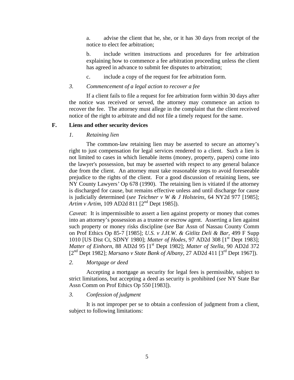<span id="page-8-0"></span>a. advise the client that he, she, or it has 30 days from receipt of the notice to elect fee arbitration;

b. include written instructions and procedures for fee arbitration explaining how to commence a fee arbitration proceeding unless the client has agreed in advance to submit fee disputes to arbitration;

c. include a copy of the request for fee arbitration form.

#### *3. Commencement of a legal action to recover a fee*

If a client fails to file a request for fee arbitration form within 30 days after the notice was received or served, the attorney may commence an action to recover the fee. The attorney must allege in the complaint that the client received notice of the right to arbitrate and did not file a timely request for the same.

#### **F. Liens and other security devices**

#### *1. Retaining lien*

The common-law retaining lien may be asserted to secure an attorney's right to just compensation for legal services rendered to a client. Such a lien is not limited to cases in which lienable items (money, property, papers) come into the lawyer's possession, but may be asserted with respect to any general balance due from the client. An attorney must take reasonable steps to avoid foreseeable prejudice to the rights of the client. For a good discussion of retaining liens, see NY County Lawyers*'* Op 678 (1990). The retaining lien is vitiated if the attorney is discharged for cause, but remains effective unless and until discharge for cause is judicially determined (*see Teichner v W & J Holsteins,* 64 NY2d 977 [1985]; *Artim v Artim, 109 AD2d 811* [2<sup>nd</sup> Dept 1985]).

*Caveat*: It is impermissible to assert a lien against property or money that comes into an attorney's possession as a trustee or escrow agent. Asserting a lien against such property or money risks discipline (*see* Bar Assn of Nassau County Comm on Prof Ethics Op 85-7 [1985]; *U.S. v J.H.W. & Gitlitz Deli & Bar,* 499 F Supp 1010 [US Dist Ct, SDNY 1980]; *Matter of Hodes,* 97 AD2d 308 [1st Dept 1983]; *Matter of Einhorn,* 88 AD2d 95 [1st Dept 1982]; *Matter of Stella,* 90 AD2d 372 [2nd Dept 1982]; *Marsano v State Bank of Albany,* 27 AD2d 411 [3rd Dept 1967]).

#### *2. Mortgage or deed*

Accepting a mortgage as security for legal fees is permissible, subject to strict limitations, but accepting a deed as security is prohibited (*see* NY State Bar Assn Comm on Prof Ethics Op 550 [1983]).

#### *3. Confession of judgment*

It is not improper per se to obtain a confession of judgment from a client, subject to following limitations: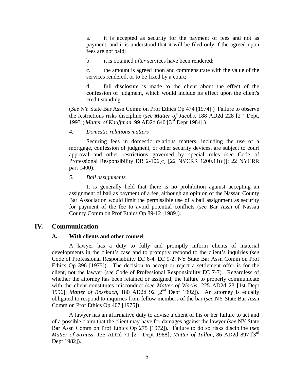<span id="page-9-0"></span>a. it is accepted as security for the payment of fees and not as payment, and it is understood that it will be filed only if the agreed-upon fees are not paid;

b. it is obtained *after* services have been rendered;

c. the amount is agreed upon and commensurate with the value of the services rendered, or to be fixed by a court;

d. full disclosure is made to the client about the effect of the confession of judgment, which would include its effect upon the client's credit standing.

(*See* NY State Bar Assn Comm on Prof Ethics Op 474 [1974].) Failure to observe the restrictions risks discipline (*see Matter of Jacobs,* 188 AD2d 228 [2nd Dept, 1993]; *Matter of Kauffman,* 99 AD2d 640 [3rd Dept 1984].)

#### *4. Domestic relations matters*

Securing fees in domestic relations matters, including the use of a mortgage, confession of judgment, or other security devices, are subject to court approval and other restrictions governed by special rules (*see* Code of Professional Responsibility DR 2-106[c] [22 NYCRR 1200.11(c)]; 22 NYCRR part 1400).

#### *5. Bail assignments*

It is generally held that there is no prohibition against accepting an assignment of bail as payment of a fee, although an opinion of the Nassau County Bar Association would limit the permissible use of a bail assignment as security for payment of the fee to avoid potential conflicts (*see* Bar Assn of Nassau County Comm on Prof Ethics Op 89-12 [1989]).

#### **IV. Communication**

#### **A. With clients and other counsel**

A lawyer has a duty to fully and promptly inform clients of material developments in the client's case and to promptly respond to the client's inquiries (*see*  Code of Professional Responsibility EC 6-4, EC 9-2; NY State Bar Assn Comm on Prof Ethics Op 396 [1975]). The decision to accept or reject a settlement offer is for the client, not the lawyer (*see* Code of Professional Responsibility EC 7-7). Regardless of whether the attorney has been retained or assigned, the failure to properly communicate with the client constitutes misconduct (*see Matter of Wachs,* 225 AD2d 23 [1st Dept 1996]; *Matter of Rossbach,* 180 AD2d 92 [2nd Dept 1992]). An attorney is equally obligated to respond to inquiries from fellow members of the bar (*see* NY State Bar Assn Comm on Prof Ethics Op 407 [1975]).

A lawyer has an affirmative duty to advise a client of his or her failure to act and of a possible claim that the client may have for damages against the lawyer (*see* NY State Bar Assn Comm on Prof Ethics Op 275 [1972]). Failure to do so risks discipline (*see Matter of Strauss, 135 AD2d 71* [2<sup>nd</sup> Dept 1988]; *Matter of Tallon, 86 AD2d 897* [3<sup>rd</sup> Dept 1982]).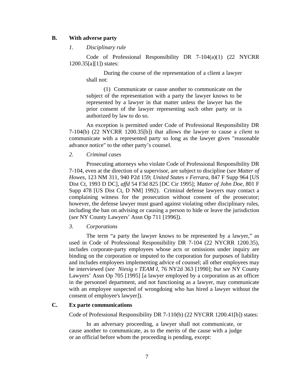#### <span id="page-10-0"></span>**B. With adverse party**

#### *1. Disciplinary rule*

Code of Professional Responsibility DR 7-104(a)(1) (22 NYCRR 1200.35[a][1]) states:

During the course of the representation of a client a lawyer shall not:

(1) Communicate or cause another to communicate on the subject of the representation with a party the lawyer knows to be represented by a lawyer in that matter unless the lawyer has the prior consent of the lawyer representing such other party or is authorized by law to do so.

An exception is permitted under Code of Professional Responsibility DR 7-104(b) (22 NYCRR 1200.35[b]) that allows the lawyer to cause a *client* to communicate with a represented party so long as the lawyer gives "reasonable advance notice" to the other party's counsel.

#### *2. Criminal cases*

Prosecuting attorneys who violate Code of Professional Responsibility DR 7-104, even at the direction of a supervisor, are subject to discipline (*see Matter of Howes,* 123 NM 311, 940 P2d 159; *United States v Ferrara,* 847 F Supp 964 [US Dist Ct, 1993 D DC], *affd* 54 F3d 825 [DC Cir 1995]; *Matter of John Doe*, 801 F Supp 478 [US Dist Ct, D NM] 1992). Criminal defense lawyers may contact a complaining witness for the prosecution without consent of the prosecutor; however, the defense lawyer must guard against violating other disciplinary rules, including the ban on advising or causing a person to hide or leave the jurisdiction (*see* NY County Lawyers' Assn Op 711 [1996]).

*3. Corporations* 

The term "a party the lawyer knows to be represented by a lawyer," as used in Code of Professional Responsibility DR 7-104 (22 NYCRR 1200.35), includes corporate-party employees whose acts or omissions under inquiry are binding on the corporation or imputed to the corporation for purposes of liability and includes employees implementing advice of counsel; all other employees may be interviewed (*see Niesig v TEAM I,* 76 NY2d 363 [1990]; *but see* NY County Lawyers' Assn Op 705 [1995] [a lawyer employed by a corporation as an officer in the personnel department, and not functioning as a lawyer, may communicate with an employee suspected of wrongdoing who has hired a lawyer without the consent of employee's lawyer]).

#### **C. Ex parte communications**

Code of Professional Responsibility DR 7-110(b) (22 NYCRR 1200.41[b]) states:

In an adversary proceeding, a lawyer shall not communicate, or cause another to communicate, as to the merits of the cause with a judge or an official before whom the proceeding is pending, except: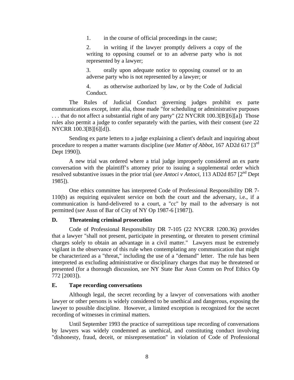<span id="page-11-0"></span>1. in the course of official proceedings in the cause;

2. in writing if the lawyer promptly delivers a copy of the writing to opposing counsel or to an adverse party who is not represented by a lawyer;

3. orally upon adequate notice to opposing counsel or to an adverse party who is not represented by a lawyer; or

4. as otherwise authorized by law, or by the Code of Judicial Conduct.

The Rules of Judicial Conduct governing judges prohibit ex parte communications except, inter alia, those made "for scheduling or administrative purposes . . . that do not affect a substantial right of any party" (22 NYCRR 100.3[B][6][a]) Those rules also permit a judge to confer separately with the parties, with their consent (*see* 22 NYCRR 100.3[B][6][d]).

Sending ex parte letters to a judge explaining a client's default and inquiring about procedure to reopen a matter warrants discipline (*see Matter of Abbot*, 167 AD2d 617 [3rd Dept 1990]).

A new trial was ordered where a trial judge improperly considered an ex parte conversation with the plaintiff's attorney prior to issuing a supplemental order which resolved substantive issues in the prior trial (*see Antoci v Antoci,* 113 AD2d 857 [2nd Dept 1985]).

One ethics committee has interpreted Code of Professional Responsibility DR 7- 110(b) as requiring equivalent service on both the court and the adversary, i.e., if a communication is hand-delivered to a court, a "cc" by mail to the adversary is not permitted (*see* Assn of Bar of City of NY Op 1987-6 [1987]).

#### **D. Threatening criminal prosecution**

Code of Professional Responsibility DR 7-105 (22 NYCRR 1200.36) provides that a lawyer "shall not present, participate in presenting, or threaten to present criminal charges solely to obtain an advantage in a civil matter." Lawyers must be extremely vigilant in the observance of this rule when contemplating any communication that might be characterized as a "threat," including the use of a "demand" letter. The rule has been interpreted as excluding administrative or disciplinary charges that may be threatened or presented (for a thorough discussion, *see* NY State Bar Assn Comm on Prof Ethics Op 772 [2003]).

#### **E. Tape recording conversations**

Although legal, the secret recording by a lawyer of conversations with another lawyer or other persons is widely considered to be unethical and dangerous, exposing the lawyer to possible discipline. However, a limited exception is recognized for the secret recording of witnesses in criminal matters.

Until September 1993 the practice of surreptitious tape recording of conversations by lawyers was widely condemned as unethical, and constituting conduct involving "dishonesty, fraud, deceit, or misrepresentation" in violation of Code of Professional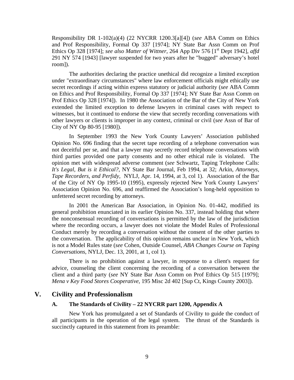<span id="page-12-0"></span>Responsibility DR 1-102(a)(4) (22 NYCRR 1200.3[a][4]) (*see* ABA Comm on Ethics and Prof Responsibility, Formal Op 337 [1974]; NY State Bar Assn Comm on Prof Ethics Op 328 [1974]; *see also Matter of Wittner*, 264 App Div 576 [1<sup>st</sup> Dept 1942], *affd* 291 NY 574 [1943] [lawyer suspended for two years after he "bugged" adversary's hotel room]).

The authorities declaring the practice unethical did recognize a limited exception under "extraordinary circumstances" where law enforcement officials might ethically use secret recordings if acting within express statutory or judicial authority (*see* ABA Comm on Ethics and Prof Responsibility, Formal Op 337 [1974]; NY State Bar Assn Comm on Prof Ethics Op 328 [1974]). In 1980 the Association of the Bar of the City of New York extended the limited exception to defense lawyers in criminal cases with respect to witnesses, but it continued to endorse the view that secretly recording conversations with other lawyers or clients is improper in any context, criminal or civil (*see* Assn of Bar of City of NY Op 80-95 [1980]).

In September 1993 the New York County Lawyers' Association published Opinion No. 696 finding that the secret tape recording of a telephone conversation was not deceitful per se, and that a lawyer may secretly record telephone conversations with third parties provided one party consents and no other ethical rule is violated. The opinion met with widespread adverse comment (*see* Schwartz, Taping Telephone Calls: *It's Legal, But is it Ethical?,* NY State Bar Journal, Feb 1994, at 32; Arkin, *Attorneys, Tape Recorders, and Perfidy*, NYLJ, Apr. 14, 1994, at 3, col 1). Association of the Bar of the City of NY Op 1995-10 (1995), expressly rejected New York County Lawyers' Association Opinion No. 696, and reaffirmed the Association's long-held opposition to unfettered secret recording by attorneys.

In 2001 the American Bar Association, in Opinion No. 01-442, modified its general prohibition enunciated in its earlier Opinion No. 337, instead holding that where the nonconsensual recording of conversations is permitted by the law of the jurisdiction where the recording occurs, a lawyer does not violate the Model Rules of Professional Conduct merely by recording a conversation without the consent of the other parties to the conversation. The applicability of this opinion remains unclear in New York, which is not a Model Rules state (*see* Cohen, Outside Counsel, *ABA Changes Course on Taping Conversations*, NYLJ, Dec. 13, 2001, at 1, col 1).

There is no prohibition against a lawyer, in response to a client's request for advice, counseling the client concerning the recording of a conversation between the client and a third party (*see* NY State Bar Assn Comm on Prof Ethics Op 515 [1979]; *Mena v Key Food Stores Cooperative,* 195 Misc 2d 402 [Sup Ct, Kings County 2003]).

#### **V. Civility and Professionalism**

#### **A. The Standards of Civility – 22 NYCRR part 1200, Appendix A**

New York has promulgated a set of Standards of Civility to guide the conduct of all participants in the operation of the legal system. The thrust of the Standards is succinctly captured in this statement from its preamble: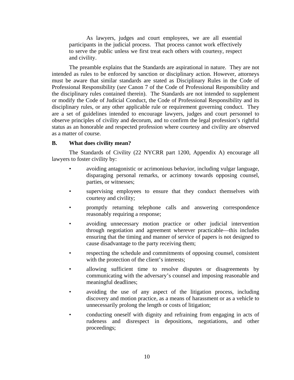<span id="page-13-0"></span>As lawyers, judges and court employees, we are all essential participants in the judicial process. That process cannot work effectively to serve the public unless we first treat each others with courtesy, respect and civility.

The preamble explains that the Standards are aspirational in nature. They are not intended as rules to be enforced by sanction or disciplinary action. However, attorneys must be aware that similar standards are stated as Disciplinary Rules in the Code of Professional Responsibility (*see* Canon 7 of the Code of Professional Responsibility and the disciplinary rules contained therein). The Standards are not intended to supplement or modify the Code of Judicial Conduct, the Code of Professional Responsibility and its disciplinary rules, or any other applicable rule or requirement governing conduct. They are a set of guidelines intended to encourage lawyers, judges and court personnel to observe principles of civility and decorum, and to confirm the legal profession's rightful status as an honorable and respected profession where courtesy and civility are observed as a matter of course.

#### **B. What does civility mean?**

The Standards of Civility (22 NYCRR part 1200, Appendix A) encourage all lawyers to foster civility by:

- avoiding antagonistic or acrimonious behavior, including vulgar language, disparaging personal remarks, or acrimony towards opposing counsel, parties, or witnesses;
- supervising employees to ensure that they conduct themselves with courtesy and civility;
- promptly returning telephone calls and answering correspondence reasonably requiring a response;
- avoiding unnecessary motion practice or other judicial intervention through negotiation and agreement wherever practicable—this includes ensuring that the timing and manner of service of papers is not designed to cause disadvantage to the party receiving them;
- respecting the schedule and commitments of opposing counsel, consistent with the protection of the client's interests;
- allowing sufficient time to resolve disputes or disagreements by communicating with the adversary's counsel and imposing reasonable and meaningful deadlines;
- avoiding the use of any aspect of the litigation process, including discovery and motion practice, as a means of harassment or as a vehicle to unnecessarily prolong the length or costs of litigation;
- conducting oneself with dignity and refraining from engaging in acts of rudeness and disrespect in depositions, negotiations, and other proceedings;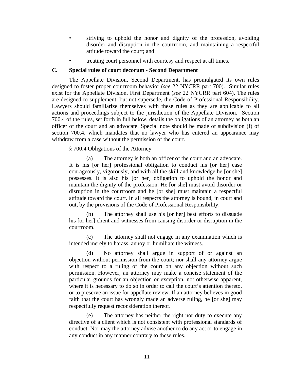- <span id="page-14-0"></span>striving to uphold the honor and dignity of the profession, avoiding disorder and disruption in the courtroom, and maintaining a respectful attitude toward the court; and
- treating court personnel with courtesy and respect at all times.

#### **C. Special rules of court decorum - Second Department**

The Appellate Division, Second Department, has promulgated its own rules designed to foster proper courtroom behavior (*see* 22 NYCRR part 700). Similar rules exist for the Appellate Division, First Department (*see* 22 NYCRR part 604). The rules are designed to supplement, but not supersede, the Code of Professional Responsibility. Lawyers should familiarize themselves with these rules as they are applicable to all actions and proceedings subject to the jurisdiction of the Appellate Division. Section 700.4 of the rules, set forth in full below, details the obligations of an attorney as both an officer of the court and an advocate. Special note should be made of subdivision (f) of section 700.4, which mandates that no lawyer who has entered an appearance may withdraw from a case without the permission of the court.

#### § 700.4 Obligations of the Attorney

The attorney is both an officer of the court and an advocate. It is his [or her] professional obligation to conduct his [or her] case courageously, vigorously, and with all the skill and knowledge he [or she] possesses. It is also his [or her] obligation to uphold the honor and maintain the dignity of the profession. He [or she] must avoid disorder or disruption in the courtroom and he [or she] must maintain a respectful attitude toward the court. In all respects the attorney is bound, in court and out, by the provisions of the Code of Professional Responsibility.

(b) The attorney shall use his [or her] best efforts to dissuade his [or her] client and witnesses from causing disorder or disruption in the courtroom.

(c) The attorney shall not engage in any examination which is intended merely to harass, annoy or humiliate the witness.

(d) No attorney shall argue in support of or against an objection without permission from the court; nor shall any attorney argue with respect to a ruling of the court on any objection without such permission. However, an attorney may make a concise statement of the particular grounds for an objection or exception, not otherwise apparent, where it is necessary to do so in order to call the court's attention thereto, or to preserve an issue for appellate review. If an attorney believes in good faith that the court has wrongly made an adverse ruling, he [or she] may respectfully request reconsideration thereof.

(e) The attorney has neither the right nor duty to execute any directive of a client which is not consistent with professional standards of conduct. Nor may the attorney advise another to do any act or to engage in any conduct in any manner contrary to these rules.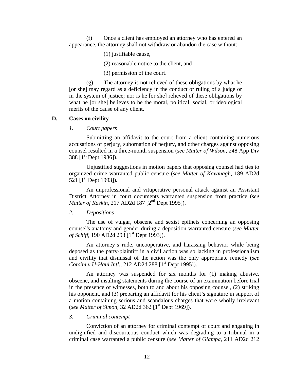<span id="page-15-0"></span>(f) Once a client has employed an attorney who has entered an appearance, the attorney shall not withdraw or abandon the case without:

(1) justifiable cause,

(2) reasonable notice to the client, and

(3) permission of the court.

(g) The attorney is not relieved of these obligations by what he [or she] may regard as a deficiency in the conduct or ruling of a judge or in the system of justice; nor is he [or she] relieved of these obligations by what he [or she] believes to be the moral, political, social, or ideological merits of the cause of any client.

#### **D. Cases on civility**

*1. Court papers* 

Submitting an affidavit to the court from a client containing numerous accusations of perjury, subornation of perjury, and other charges against opposing counsel resulted in a three-month suspension (*see Matter of Wilson,* 248 App Div 388 [1st Dept 1936]).

Unjustified suggestions in motion papers that opposing counsel had ties to organized crime warranted public censure (*see Matter of Kavanagh,* 189 AD2d 521  $[1^{st}$  Dept 1993]).

An unprofessional and vituperative personal attack against an Assistant District Attorney in court documents warranted suspension from practice (*see Matter of Raskin*, 217 AD2d 187 [2<sup>nd</sup> Dept 1995]).

#### *2. Depositions*

The use of vulgar, obscene and sexist epithets concerning an opposing counsel's anatomy and gender during a deposition warranted censure (*see Matter of Schiff,* 190 AD2d 293 [1<sup>st</sup> Dept 1993]).

An attorney's rude, uncooperative, and harassing behavior while being deposed as the party-plaintiff in a civil action was so lacking in professionalism and civility that dismissal of the action was the only appropriate remedy (*see Corsini v U-Haul Intl., 212 AD2d 288* [1<sup>st</sup> Dept 1995]).

An attorney was suspended for six months for (1) making abusive, obscene, and insulting statements during the course of an examination before trial in the presence of witnesses, both to and about his opposing counsel, (2) striking his opponent, and (3) preparing an affidavit for his client's signature in support of a motion containing serious and scandalous charges that were wholly irrelevant (*see Matter of Simon, 32 AD2d 362* [1<sup>st</sup> Dept 1969]).

#### *3. Criminal contempt*

Conviction of an attorney for criminal contempt of court and engaging in undignified and discourteous conduct which was degrading to a tribunal in a criminal case warranted a public censure (*see Matter of Giampa,* 211 AD2d 212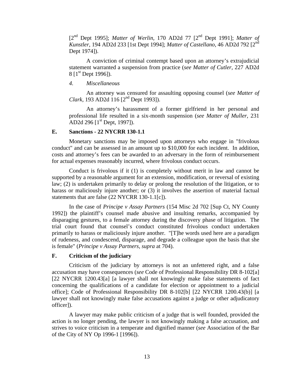<span id="page-16-0"></span>[2nd Dept 1995]; *Matter of Werlin,* 170 AD2d 77 [2nd Dept 1991]; *Matter of Kunstler,* 194 AD2d 233 [1st Dept 1994]; *Matter of Castellano,* 46 AD2d 792 [2nd Dept 1974]).

A conviction of criminal contempt based upon an attorney's extrajudicial statement warranted a suspension from practice (*see Matter of Cutler,* 227 AD2d 8  $[1<sup>st</sup>$  Dept 1996]).

*4. Miscellaneous* 

An attorney was censured for assaulting opposing counsel (*see Matter of Clark*, 193 AD2d 116 [2<sup>nd</sup> Dept 1993]).

An attorney's harassment of a former girlfriend in her personal and professional life resulted in a six-month suspension (*see Matter of Muller,* 231 AD2d 296  $[1<sup>st</sup>$  Dept, 1997]).

#### **E. Sanctions - 22 NYCRR 130-1.1**

Monetary sanctions may be imposed upon attorneys who engage in "frivolous conduct" and can be assessed in an amount up to \$10,000 for each incident. In addition, costs and attorney's fees can be awarded to an adversary in the form of reimbursement for actual expenses reasonably incurred, where frivolous conduct occurs.

Conduct is frivolous if it (1) is completely without merit in law and cannot be supported by a reasonable argument for an extension, modification, or reversal of existing law; (2) is undertaken primarily to delay or prolong the resolution of the litigation, or to harass or maliciously injure another; or (3) it involves the assertion of material factual statements that are false (22 NYCRR 130-1.1[c]).

In the case of *Principe v Assay Partners* (154 Misc 2d 702 [Sup Ct, NY County 1992]) the plaintiff's counsel made abusive and insulting remarks, accompanied by disparaging gestures, to a female attorney during the discovery phase of litigation. The trial court found that counsel's conduct constituted frivolous conduct undertaken primarily to harass or maliciously injure another. "[T]he words used here are a paradigm of rudeness, and condescend, disparage, and degrade a colleague upon the basis that she is female" (*Principe v Assay Partners, supra* at 704).

#### **F. Criticism of the judiciary**

Criticism of the judiciary by attorneys is not an unfettered right, and a false accusation may have consequences (*see* Code of Professional Responsibility DR 8-102[a] [22 NYCRR 1200.43[a] [a lawyer shall not knowingly make false statements of fact concerning the qualifications of a candidate for election or appointment to a judicial office]; Code of Professional Responsibility DR 8-102[b] [22 NYCRR 1200.43(b)] [a lawyer shall not knowingly make false accusations against a judge or other adjudicatory officer]).

A lawyer may make public criticism of a judge that is well founded, provided the action is no longer pending, the lawyer is not knowingly making a false accusation, and strives to voice criticism in a temperate and dignified manner (*see* Association of the Bar of the City of NY Op 1996-1 [1996]).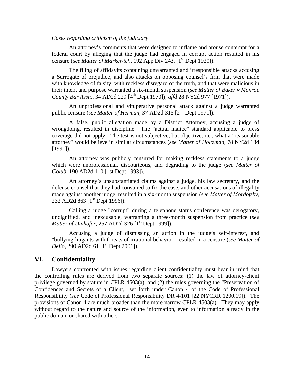#### <span id="page-17-0"></span>*Cases regarding criticism of the judiciary*

An attorney's comments that were designed to inflame and arouse contempt for a federal court by alleging that the judge had engaged in corrupt action resulted in his censure (*see Matter of Markewich*, 192 App Div 243, [1<sup>st</sup> Dept 1920]).

The filing of affidavits containing unwarranted and irresponsible attacks accusing a Surrogate of prejudice, and also attacks on opposing counsel's firm that were made with knowledge of falsity, with reckless disregard of the truth, and that were malicious in their intent and purpose warranted a six-month suspension (*see Matter of Baker v Monroe County Bar Assn.,* 34 AD2d 229 [4th Dept 1970]), *affd* 28 NY2d 977 [1971]).

An unprofessional and vituperative personal attack against a judge warranted public censure (*see Matter of Herman*, 37 AD2d 315 [2<sup>nd</sup> Dept 1971]).

A false, public allegation made by a District Attorney, accusing a judge of wrongdoing, resulted in discipline. The "actual malice" standard applicable to press coverage did not apply. The test is not subjective, but objective, i.e., what a "reasonable attorney" would believe in similar circumstances (*see Matter of Holtzman,* 78 NY2d 184 [1991]).

An attorney was publicly censured for making reckless statements to a judge which were unprofessional, discourteous, and degrading to the judge (*see Matter of Golub,* 190 AD2d 110 [1st Dept 1993]).

An attorney's unsubstantiated claims against a judge, his law secretary, and the defense counsel that they had conspired to fix the case, and other accusations of illegality made against another judge, resulted in a six-month suspension (*see Matter of Mordofsky,*  232 AD2d 863 [1<sup>st</sup> Dept 1996]).

Calling a judge "corrupt" during a telephone status conference was derogatory, undignified, and inexcusable, warranting a three-month suspension from practice (*see Matter of Dinhofer, 257 AD2d 326* [1<sup>st</sup> Dept 1999]).

Accusing a judge of dismissing an action in the judge's self-interest, and "bullying litigants with threats of irrational behavior" resulted in a censure (*see Matter of Delio*, 290 AD2d 61 [1<sup>st</sup> Dept 2001]).

#### **VI. Confidentiality**

Lawyers confronted with issues regarding client confidentiality must bear in mind that the controlling rules are derived from two separate sources: (1) the law of attorney-client privilege governed by statute in CPLR 4503(a), and (2) the rules governing the "Preservation of Confidences and Secrets of a Client," set forth under Canon 4 of the Code of Professional Responsibility (*see* Code of Professional Responsibility DR 4-101 [22 NYCRR 1200.19]). The provisions of Canon 4 are much broader than the more narrow CPLR 4503(a). They may apply without regard to the nature and source of the information, even to information already in the public domain or shared with others.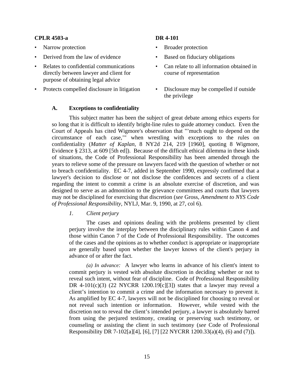#### <span id="page-18-0"></span>**CPLR 4503-a DR 4-101**

- 
- 
- Relates to confidential communications directly between lawyer and client for purpose of obtaining legal advice
- Protects compelled disclosure in litigation Disclosure may be compelled if outside

- Narrow protection Broader protection
- **Derived from the law of evidence** Based on fiduciary obligations
	- Can relate to all information obtained in course of representation
	- the privilege

#### **A. Exceptions to confidentiality**

This subject matter has been the subject of great debate among ethics experts for so long that it is difficult to identify bright-line rules to guide attorney conduct. Even the Court of Appeals has cited Wigmore's observation that "'much ought to depend on the circumstance of each case,'" when wrestling with exceptions to the rules on confidentiality (*Matter of Kaplan,* 8 NY2d 214, 219 [1960], quoting 8 Wigmore, Evidence § 2313, at 609 [5th ed]). Because of the difficult ethical dilemma in these kinds of situations, the Code of Professional Responsibility has been amended through the years to relieve some of the pressure on lawyers faced with the question of whether or not to breach confidentiality. EC 4-7, added in September 1990, expressly confirmed that a lawyer's decision to disclose or not disclose the confidences and secrets of a client regarding the intent to commit a crime is an absolute exercise of discretion, and was designed to serve as an admonition to the grievance committees and courts that lawyers may not be disciplined for exercising that discretion (*see* Gross, *Amendment to NYS Code of Professional Responsibility,* NYLJ, Mar. 9, 1990, at 27, col 6).

#### *1. Client perjury*

The cases and opinions dealing with the problems presented by client perjury involve the interplay between the disciplinary rules within Canon 4 and those within Canon 7 of the Code of Professional Responsibility. The outcomes of the cases and the opinions as to whether conduct is appropriate or inappropriate are generally based upon whether the lawyer knows of the client's perjury in advance of or after the fact.

*(a) In advance:* A lawyer who learns in advance of his client's intent to commit perjury is vested with absolute discretion in deciding whether or not to reveal such intent, without fear of discipline. Code of Professional Responsibility DR 4-101(c)(3) (22 NYCRR 1200.19[c][3]) states that a lawyer may reveal a client's intention to commit a crime and the information necessary to prevent it. As amplified by EC 4-7, lawyers will not be disciplined for choosing to reveal or not reveal such intention or information. However, while vested with the discretion not to reveal the client's intended perjury, a lawyer is absolutely barred from using the perjured testimony, creating or preserving such testimony, or counseling or assisting the client in such testimony (*see* Code of Professional Responsibility DR 7-102[a][4], [6], [7] [22 NYCRR 1200.33(a)(4), (6) and (7)]).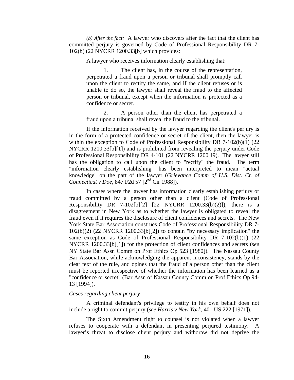*(b) After the fact:* A lawyer who discovers after the fact that the client has committed perjury is governed by Code of Professional Responsibility DR 7- 102(b) (22 NYCRR 1200.33[b] which provides:

A lawyer who receives information clearly establishing that:

1. The client has, in the course of the representation, perpetrated a fraud upon a person or tribunal shall promptly call upon the client to rectify the same, and if the client refuses or is unable to do so, the lawyer shall reveal the fraud to the affected person or tribunal, except when the information is protected as a confidence or secret.

2. A person other than the client has perpetrated a fraud upon a tribunal shall reveal the fraud to the tribunal.

If the information received by the lawyer regarding the client's perjury is in the form of a protected confidence or secret of the client, then the lawyer is within the exception to Code of Professional Responsibility DR 7-102(b)(1) (22) NYCRR 1200.33[b][1]) and is prohibited from revealing the perjury under Code of Professional Responsibility DR 4-101 (22 NYCRR 1200.19). The lawyer still has the obligation to call upon the client to "rectify" the fraud. The term "information clearly establishing" has been interpreted to mean "actual knowledge" on the part of the lawyer (*Grievance Comm of U.S. Dist. Ct. of Connecticut v Doe, 847 F2d 57 [2<sup>nd</sup> Cir 1988]).* 

In cases where the lawyer has information clearly establishing perjury or fraud committed by a person other than a client (Code of Professional Responsibility DR 7-102[b][2]  $[22 \ NYCRR \ 1200.33(b)(2)]$ , there is a disagreement in New York as to whether the lawyer is obligated to reveal the fraud even if it requires the disclosure of client confidences and secrets. The New York State Bar Association construes Code of Professional Responsibility DR 7-  $102(b)(2)$  (22 NYCRR 1200.33[b][2]) to contain "by necessary implication" the same exception as Code of Professional Responsibility DR 7-102(b)(1) (22 NYCRR 1200.33[b][1]) for the protection of client confidences and secrets (*see*  NY State Bar Assn Comm on Prof Ethics Op 523 [1980]). The Nassau County Bar Association, while acknowledging the apparent inconsistency, stands by the clear text of the rule, and opines that the fraud of a person other than the client must be reported irrespective of whether the information has been learned as a "confidence or secret" (Bar Assn of Nassau County Comm on Prof Ethics Op 94- 13 [1994]).

#### *Cases regarding client perjury*

A criminal defendant's privilege to testify in his own behalf does not include a right to commit perjury (*see Harris v New York*, 401 US 222 [1971]).

The Sixth Amendment right to counsel is not violated when a lawyer refuses to cooperate with a defendant in presenting perjured testimony. A lawyer's threat to disclose client perjury and withdraw did not deprive the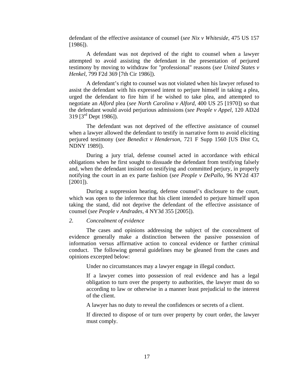<span id="page-20-0"></span>defendant of the effective assistance of counsel (*see Nix v Whiteside*, 475 US 157 [1986]).

A defendant was not deprived of the right to counsel when a lawyer attempted to avoid assisting the defendant in the presentation of perjured testimony by moving to withdraw for "professional" reasons (*see United States v Henkel,* 799 F2d 369 [7th Cir 1986]).

A defendant's right to counsel was not violated when his lawyer refused to assist the defendant with his expressed intent to perjure himself in taking a plea, urged the defendant to fire him if he wished to take plea, and attempted to negotiate an *Alford* plea (*see North Carolina v Alford,* 400 US 25 [1970]) so that the defendant would avoid perjurious admissions (*see People v Appel,* 120 AD2d 319  $[3^{rd}$  Dept 1986]).

The defendant was not deprived of the effective assistance of counsel when a lawyer allowed the defendant to testify in narrative form to avoid eliciting perjured testimony (*see Benedict v Henderson,* 721 F Supp 1560 [US Dist Ct, NDNY 1989]).

During a jury trial, defense counsel acted in accordance with ethical obligations when he first sought to dissuade the defendant from testifying falsely and, when the defendant insisted on testifying and committed perjury, in properly notifying the court in an ex parte fashion (*see People v DePallo,* 96 NY2d 437  $[2001]$ ).

During a suppression hearing, defense counsel's disclosure to the court, which was open to the inference that his client intended to perjure himself upon taking the stand, did not deprive the defendant of the effective assistance of counsel (*see People v Andrades,* 4 NY3d 355 [2005]).

#### *2. Concealment of evidence*

The cases and opinions addressing the subject of the concealment of evidence generally make a distinction between the passive possession of information versus affirmative action to conceal evidence or further criminal conduct. The following general guidelines may be gleaned from the cases and opinions excerpted below:

Under no circumstances may a lawyer engage in illegal conduct.

If a lawyer comes into possession of real evidence and has a legal obligation to turn over the property to authorities, the lawyer must do so according to law or otherwise in a manner least prejudicial to the interest of the client.

A lawyer has no duty to reveal the confidences or secrets of a client.

If directed to dispose of or turn over property by court order, the lawyer must comply.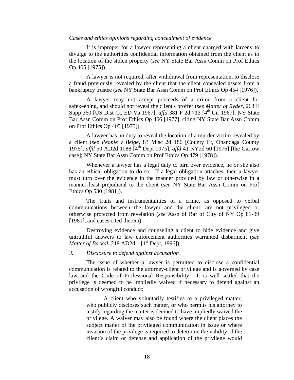#### <span id="page-21-0"></span>*Cases and ethics opinions regarding concealment of evidence*

It is improper for a lawyer representing a client charged with larceny to divulge to the authorities confidential information obtained from the client as to the location of the stolen property (*see* NY State Bar Assn Comm on Prof Ethics Op 405 [1975]).

A lawyer is not required, after withdrawal from representation, to disclose a fraud previously revealed by the client that the client concealed assets from a bankruptcy trustee (*see* NY State Bar Assn Comm on Prof Ethics Op 454 [1976]).

A lawyer may not accept proceeds of a crime from a client for safekeeping, and should not reveal the client's proffer (*see Matter of Ryder,* 263 F Supp 360 [US Dist Ct, ED Va 1967], *affd* 381 F 2d 713 [4<sup>th</sup> Cir 1967]; NY State Bar Assn Comm on Prof Ethics Op 466 [1977], citing NY State Bar Assn Comm on Prof Ethics Op 405 [1975]).

A lawyer has no duty to reveal the location of a murder victim revealed by a client (*see People v Belge,* 83 Misc 2d 186 [County Ct, Onandaga County 1975], *affd* 50 AD2d 1088 [4th Dept 1975], *affd* 41 NY2d 60 [1976] [the Garrow case]; NY State Bar Assn Comm on Prof Ethics Op 479 [1978]).

Whenever a lawyer has a legal duty to turn over evidence, he or she also has an ethical obligation to do so. If a legal obligation attaches, then a lawyer must turn over the evidence in the manner provided by law or otherwise in a manner least prejudicial to the client (*see* NY State Bar Assn Comm on Prof Ethics Op 530 [1981]).

The fruits and instrumentalities of a crime, as opposed to verbal communications between the lawyer and the client, are not privileged or otherwise protected from revelation (*see* Assn of Bar of City of NY Op 81-99 [1981], and cases cited therein).

Destroying evidence and counseling a client to hide evidence and give untruthful answers to law enforcement authorities warranted disbarment (*see Matter of Backal*, 219 AD2d 1 [1<sup>st</sup> Dept, 1996]).

#### *3. Disclosure to defend against accusation*

The issue of whether a lawyer is permitted to disclose a confidential communication is related to the attorney-client privilege and is governed by case law and the Code of Professional Responsibility. It is well settled that the privilege is deemed to be impliedly waived if necessary to defend against an accusation of wrongful conduct:

A client who voluntarily testifies to a privileged matter, who publicly discloses such matter, or who permits his attorney to testify regarding the matter is deemed to have impliedly waived the privilege. A waiver may also be found where the client places the subject matter of the privileged communication in issue or where invasion of the privilege is required to determine the validity of the client's claim or defense and application of the privilege would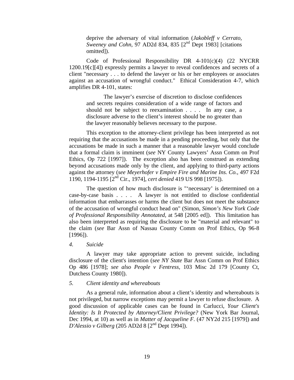deprive the adversary of vital information (*Jakobleff v Cerrato, Sweeney and Cohn, 97 AD2d 834, 835* [2<sup>nd</sup> Dept 1983] [citations omitted]).

<span id="page-22-0"></span>Code of Professional Responsibility DR 4-101(c)(4) (22 NYCRR 1200.19[c][4]) expressly permits a lawyer to reveal confidences and secrets of a client "necessary . . . to defend the lawyer or his or her employees or associates against an accusation of wrongful conduct." Ethical Consideration 4-7, which amplifies DR 4-101, states:

The lawyer's exercise of discretion to disclose confidences and secrets requires consideration of a wide range of factors and should not be subject to reexamination . . . . In any case, a disclosure adverse to the client's interest should be no greater than the lawyer reasonably believes necessary to the purpose.

This exception to the attorney-client privilege has been interpreted as not requiring that the accusations be made in a pending proceeding, but only that the accusations be made in such a manner that a reasonable lawyer would conclude that a formal claim is imminent (*see* NY County Lawyers' Assn Comm on Prof Ethics, Op 722 [1997]). The exception also has been construed as extending beyond accusations made only by the client, and applying to third-party actions against the attorney (*see Meyerhofer v Empire Fire and Marine Ins. Co.,* 497 F2d 1190, 1194-1195 [2nd Cir., 1974], *cert denied* 419 US 998 [1975]).

The question of how much disclosure is "'necessary' is determined on a case-by-case basis . . . . A lawyer is not entitled to disclose confidential information that embarrasses or harms the client but does not meet the substance of the accusation of wrongful conduct head on" (Simon, *Simon's New York Code of Professional Responsibility Annotated,* at 548 [2005 ed]). This limitation has also been interpreted as requiring the disclosure to be "material and relevant" to the claim (*see* Bar Assn of Nassau County Comm on Prof Ethics, Op 96-8 [1996]).

#### *4. Suicide*

A lawyer may take appropriate action to prevent suicide, including disclosure of the client's intention (*see NY State* Bar Assn Comm on Prof Ethics Op 486 [1978]; *see also People v Fentress,* 103 Misc 2d 179 [County Ct, Dutchess County 1980]).

#### *5. Client identity and whereabouts*

As a general rule, information about a client's identity and whereabouts is not privileged, but narrow exceptions may permit a lawyer to refuse disclosure. A good discussion of applicable cases can be found in Carlucci, *Your Client's Identity: Is It Protected by Attorney/Client Privilege?* (New York Bar Journal, Dec 1994, at 10) as well as in *Matter of Jacqueline F.* (47 NY2d 215 [1979]) and *D'Alessio v Gilberg* (205 AD2d 8 [2<sup>nd</sup> Dept 1994]).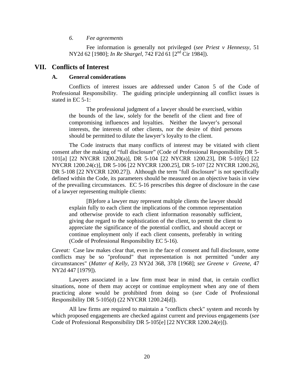#### *6. Fee agreements*

Fee information is generally not privileged (*see Priest v Hennessy,* 51 NY2d 62 [1980]; *In Re Shargel,* 742 F2d 61 [2nd Cir 1984]).

#### <span id="page-23-0"></span>**VII. Conflicts of Interest**

#### **A. General considerations**

Conflicts of interest issues are addressed under Canon 5 of the Code of Professional Responsibility. The guiding principle underpinning all conflict issues is stated in EC 5-1:

The professional judgment of a lawyer should be exercised, within the bounds of the law, solely for the benefit of the client and free of compromising influences and loyalties. Neither the lawyer's personal interests, the interests of other clients, nor the desire of third persons should be permitted to dilute the lawyer's loyalty to the client.

The Code instructs that many conflicts of interest may be vitiated with client consent after the making of "full disclosure" (Code of Professional Responsibility DR 5- 101[a] [22 NYCRR 1200.20(a)], DR 5-104 [22 NYCRR 1200.23], DR 5-105[c] [22 NYCRR 1200.24(c)], DR 5-106 [22 NYCRR 1200.25], DR 5-107 [22 NYCRR 1200.26], DR 5-108 [22 NYCRR 1200.27]). Although the term "full disclosure" is not specifically defined within the Code, its parameters should be measured on an objective basis in view of the prevailing circumstances. EC 5-16 prescribes this degree of disclosure in the case of a lawyer representing multiple clients:

[B]efore a lawyer may represent multiple clients the lawyer should explain fully to each client the implications of the common representation and otherwise provide to each client information reasonably sufficient, giving due regard to the sophistication of the client, to permit the client to appreciate the significance of the potential conflict, and should accept or continue employment only if each client consents, preferably in writing (Code of Professional Responsibility EC 5-16).

*Caveat:* Case law makes clear that, even in the face of consent and full disclosure, some conflicts may be so "profound" that representation is not permitted "under any circumstances" (*Matter of Kelly,* 23 NY2d 368, 378 [1968]; *see Greene v Greene,* 47 NY2d 447 [1979]).

Lawyers associated in a law firm must bear in mind that, in certain conflict situations, none of them may accept or continue employment when any one of them practicing alone would be prohibited from doing so (*see* Code of Professional Responsibility DR 5-105(d) (22 NYCRR 1200.24[d]).

All law firms are required to maintain a "conflicts check" system and records by which proposed engagements are checked against current and previous engagements (*see*  Code of Professional Responsibility DR 5-105[e] [22 NYCRR 1200.24(e)]).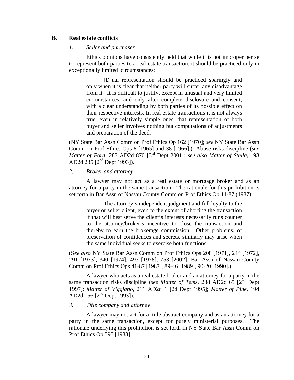#### <span id="page-24-0"></span>**B. Real estate conflicts**

#### *1. Seller and purchaser*

Ethics opinions have consistently held that while it is not improper per se to represent both parties to a real estate transaction, it should be practiced only in exceptionally limited circumstances:

[D]ual representation should be practiced sparingly and only when it is clear that neither party will suffer any disadvantage from it. It is difficult to justify, except in unusual and very limited circumstances, and only after complete disclosure and consent, with a clear understanding by both parties of its possible effect on their respective interests. In real estate transactions it is not always true, even in relatively simple ones, that representation of both buyer and seller involves nothing but computations of adjustments and preparation of the deed.

(NY State Bar Assn Comm on Prof Ethics Op 162 [1970]; *see* NY State Bar Assn Comm on Prof Ethics Ops 8 [1965] and 38 [1966].) Abuse risks discipline (*see Matter of Ford,* 287 AD2d 870 [3rd Dept 2001]; *see also Matter of Stella,* 193 AD2d 235 [2<sup>nd</sup> Dept 1993]).

#### *2. Broker and attorney*

A lawyer may not act as a real estate or mortgage broker and as an attorney for a party in the same transaction. The rationale for this prohibition is set forth in Bar Assn of Nassau County Comm on Prof Ethics Op 11-87 (1987):

The attorney's independent judgment and full loyalty to the buyer or seller client, even to the extent of aborting the transaction if that will best serve the client's interests necessarily runs counter to the attorney/broker's incentive to close the transaction and thereby to earn the brokerage commission. Other problems, of preservation of confidences and secrets, similarly may arise when the same individual seeks to exercise both functions.

(S*ee also* NY State Bar Assn Comm on Prof Ethics Ops 208 [1971], 244 [1972], 291 [1973], 340 [1974], 493 [1978], 753 [2002]; Bar Assn of Nassau County Comm on Prof Ethics Ops 41-87 [1987], 89-46 [1989], 90-20 [1990].)

A lawyer who acts as a real estate broker and an attorney for a party in the same transaction risks discipline (*see Matter of Tems,* 238 AD2d 65 [2nd Dept 1997]; *Matter of Viggiano,* 211 AD2d 1 [2d Dept 1995]; *Matter of Pine,* 194 AD2d 156 [2nd Dept 1993]).

#### *3. Title company and attorney*

A lawyer may not act for a title abstract company and as an attorney for a party in the same transaction, except for purely ministerial purposes. The rationale underlying this prohibition is set forth in NY State Bar Assn Comm on Prof Ethics Op 595 [1988]: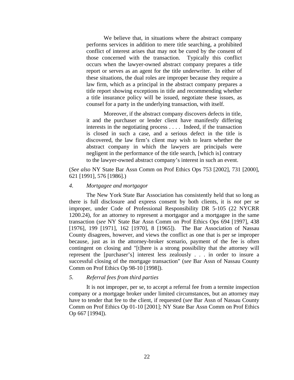<span id="page-25-0"></span>We believe that, in situations where the abstract company performs services in addition to mere title searching, a prohibited conflict of interest arises that may not be cured by the consent of those concerned with the transaction. Typically this conflict occurs when the lawyer-owned abstract company prepares a title report or serves as an agent for the title underwriter. In either of these situations, the dual roles are improper because they require a law firm, which as a principal in the abstract company prepares a title report showing exceptions in title and recommending whether a title insurance policy will be issued, negotiate these issues, as counsel for a party in the underlying transaction, with itself.

Moreover, if the abstract company discovers defects in title, it and the purchaser or lender client have manifestly differing interests in the negotiating process . . . . Indeed, if the transaction is closed in such a case, and a serious defect in the title is discovered, the law firm's client may wish to learn whether the abstract company in which the lawyers are principals were negligent in the performance of the title search, [which is] contrary to the lawyer-owned abstract company's interest in such an event.

(*See also* NY State Bar Assn Comm on Prof Ethics Ops 753 [2002], 731 [2000], 621 [1991], 576 [1986].)

#### *4. Mortgagee and mortgagor*

The New York State Bar Association has consistently held that so long as there is full disclosure and express consent by both clients, it is *not* per se improper, under Code of Professional Responsibility DR 5-105 (22 NYCRR 1200.24), for an attorney to represent a mortgagor and a mortgagee in the same transaction (*see* NY State Bar Assn Comm on Prof Ethics Ops 694 [1997], 438 [1976], 199 [1971], 162 [1970], 8 [1965]). The Bar Association of Nassau County disagrees, however, and views the conflict as one that is per se improper because, just as in the attorney-broker scenario, payment of the fee is often contingent on closing and "[t]here is a strong possibility that the attorney will represent the [purchaser's] interest less zealously . . . in order to insure a successful closing of the mortgage transaction" (*see* Bar Assn of Nassau County Comm on Prof Ethics Op 98-10 [1998]).

#### *5. Referral fees from third parties*

It is not improper, per se, to accept a referral fee from a termite inspection company or a mortgage broker under limited circumstances, but an attorney may have to tender that fee to the client, if requested (*see* Bar Assn of Nassau County Comm on Prof Ethics Op 01-10 [2001]; NY State Bar Assn Comm on Prof Ethics Op 667 [1994]).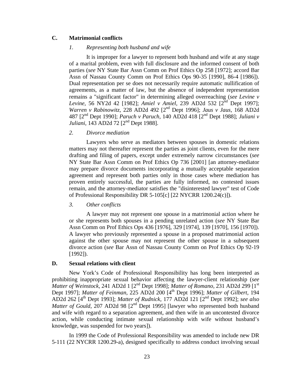#### <span id="page-26-0"></span>**C. Matrimonial conflicts**

#### *1. Representing both husband and wife*

It is improper for a lawyer to represent both husband and wife at any stage of a marital problem, even with full disclosure and the informed consent of both parties (*see* NY State Bar Assn Comm on Prof Ethics Op 258 [1972]; accord Bar Assn of Nassau County Comm on Prof Ethics Ops 90-35 [1990], 86-4 [1986]). Dual representation per se does not necessarily require automatic nullification of agreements, as a matter of law, but the absence of independent representation remains a "significant factor" in determining alleged overreaching (*see Levine v Levine,* 56 NY2d 42 [1982]; *Amiel v Amiel*, 239 AD2d 532 [2<sup>nd</sup> Dept 1997]; *Warren v Rabinowitz,* 228 AD2d 492 [2nd Dept 1996]; *Jaus v Jaus,* 168 AD2d 487 [2nd Dept 1990]; *Paruch v Paruch,* 140 AD2d 418 [2nd Dept 1988]; *Juliani v Juliani*, 143 AD2d 72 [2<sup>nd</sup> Dept 1988].

#### *2. Divorce mediation*

Lawyers who serve as mediators between spouses in domestic relations matters may not thereafter represent the parties as joint clients, even for the mere drafting and filing of papers, except under extremely narrow circumstances (*see*  NY State Bar Assn Comm on Prof Ethics Op 736 [2001] [an attorney-mediator may prepare divorce documents incorporating a mutually acceptable separation agreement and represent both parties only in those cases where mediation has proven entirely successful, the parties are fully informed, no contested issues remain, and the attorney-mediator satisfies the "disinterested lawyer" test of Code of Professional Responsibility DR 5-105[c] [22 NYCRR 1200.24(c)]).

*3. Other conflicts* 

A lawyer may not represent one spouse in a matrimonial action where he or she represents both spouses in a pending unrelated action (*see* NY State Bar Assn Comm on Prof Ethics Ops 436 [1976], 329 [1974], 139 [1970], 156 [1970]). A lawyer who previously represented a spouse in a proposed matrimonial action against the other spouse may not represent the other spouse in a subsequent divorce action (*see* Bar Assn of Nassau County Comm on Prof Ethics Op 92-19 [1992]).

#### **D. Sexual relations with client**

New York's Code of Professional Responsibility has long been interpreted as prohibiting inappropriate sexual behavior affecting the lawyer-client relationship (*see Matter of Weinstock,* 241 AD2d 1 [2<sup>nd</sup> Dept 1998]; *Matter of Romano,* 231 AD2d 299 [1<sup>st</sup>] Dept 1997]; *Matter of Feinman,* 225 AD2d 200 [4th Dept 1996]; *Matter of Gilbert,* 194 AD2d 262 [4th Dept 1993]; *Matter of Rudnick,* 177 AD2d 121 [2nd Dept 1992]; *see also Matter of Gould*, 207 AD2d 98 [2<sup>nd</sup> Dept 1995] [lawyer who represented both husband and wife with regard to a separation agreement, and then wife in an uncontested divorce action, while conducting intimate sexual relationship with wife without husband's knowledge, was suspended for two years]).

In 1999 the Code of Professional Responsibility was amended to include new DR 5-111 (22 NYCRR 1200.29-a), designed specifically to address conduct involving sexual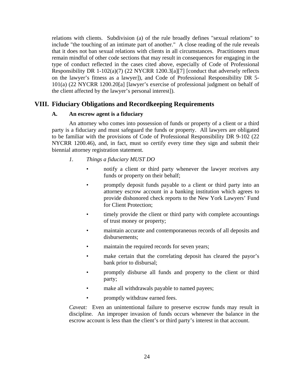<span id="page-27-0"></span>relations with clients. Subdivision (a) of the rule broadly defines "sexual relations" to include "the touching of an intimate part of another." A close reading of the rule reveals that it does not ban sexual relations with clients in all circumstances. Practitioners must remain mindful of other code sections that may result in consequences for engaging in the type of conduct reflected in the cases cited above, especially of Code of Professional Responsibility DR 1-102(a)(7) (22 NYCRR 1200.3[a][7] [conduct that adversely reflects on the lawyer's fitness as a lawyer]), and Code of Professional Responsibility DR 5- 101(a) (22 NYCRR 1200.20[a] [lawyer's exercise of professional judgment on behalf of the client affected by the lawyer's personal interest]).

### **VIII. Fiduciary Obligations and Recordkeeping Requirements**

#### **A. An escrow agent is a fiduciary**

An attorney who comes into possession of funds or property of a client or a third party is a fiduciary and must safeguard the funds or property. All lawyers are obligated to be familiar with the provisions of Code of Professional Responsibility DR 9-102 (22 NYCRR 1200.46), and, in fact, must so certify every time they sign and submit their biennial attorney registration statement.

- *1. Things a fiduciary MUST DO* 
	- notify a client or third party whenever the lawyer receives any funds or property on their behalf;
	- promptly deposit funds payable to a client or third party into an attorney escrow account in a banking institution which agrees to provide dishonored check reports to the New York Lawyers' Fund for Client Protection;
	- timely provide the client or third party with complete accountings of trust money or property;
	- maintain accurate and contemporaneous records of all deposits and disbursements;
	- maintain the required records for seven years;
	- make certain that the correlating deposit has cleared the payor's bank prior to disbursal;
	- promptly disburse all funds and property to the client or third party;
	- make all withdrawals payable to named payees;
	- promptly withdraw earned fees.

*Caveat:* Even an unintentional failure to preserve escrow funds may result in discipline. An improper invasion of funds occurs whenever the balance in the escrow account is less than the client's or third party's interest in that account.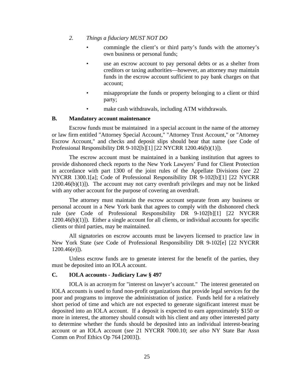#### <span id="page-28-0"></span>*2. Things a fiduciary MUST NOT DO*

- commingle the client's or third party's funds with the attorney's own business or personal funds;
- use an escrow account to pay personal debts or as a shelter from creditors or taxing authorities—however, an attorney may maintain funds in the escrow account sufficient to pay bank charges on that account;
- misappropriate the funds or property belonging to a client or third party;
- make cash withdrawals, including ATM withdrawals.

#### **B. Mandatory account maintenance**

Escrow funds must be maintained in a special account in the name of the attorney or law firm entitled "Attorney Special Account," "Attorney Trust Account," or "Attorney Escrow Account," and checks and deposit slips should bear that name (*see* Code of Professional Responsibility DR 9-102[b][1] [22 NYCRR 1200.46(b)(1)]).

The escrow account must be maintained in a banking institution that agrees to provide dishonored check reports to the New York Lawyers' Fund for Client Protection in accordance with part 1300 of the joint rules of the Appellate Divisions (*see* 22 NYCRR 1300.1[a]; Code of Professional Responsibility DR 9-102[b][1] [22 NYCRR 1200.46(b)(1)]). The account may not carry overdraft privileges and may not be linked with any other account for the purpose of covering an overdraft.

The attorney must maintain the escrow account separate from any business or personal account in a New York bank that agrees to comply with the dishonored check rule (*see* Code of Professional Responsibility DR 9-102[b][1] [22 NYCRR  $1200.46(b)(1)$ ]). Either a single account for all clients, or individual accounts for specific clients or third parties, may be maintained.

All signatories on escrow accounts must be lawyers licensed to practice law in New York State (*see* Code of Professional Responsibility DR 9-102[e] [22 NYCRR  $1200.46(e)$ ]).

Unless escrow funds are to generate interest for the benefit of the parties, they must be deposited into an IOLA account.

#### **C. IOLA accounts - Judiciary Law § 497**

IOLA is an acronym for "interest on lawyer's account." The interest generated on IOLA accounts is used to fund non-profit organizations that provide legal services for the poor and programs to improve the administration of justice. Funds held for a relatively short period of time and which are not expected to generate significant interest must be deposited into an IOLA account. If a deposit is expected to earn approximately \$150 or more in interest, the attorney should consult with his client and any other interested party to determine whether the funds should be deposited into an individual interest-bearing account or an IOLA account (*see* 21 NYCRR 7000.10; *see also* NY State Bar Assn Comm on Prof Ethics Op 764 [2003]).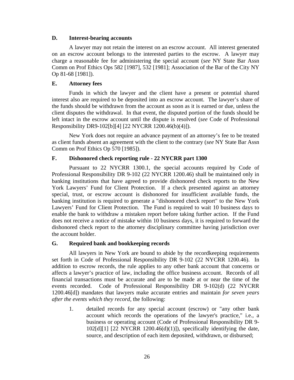#### <span id="page-29-0"></span>**D. Interest-bearing accounts**

A lawyer may not retain the interest on an escrow account. All interest generated on an escrow account belongs to the interested parties to the escrow. A lawyer may charge a reasonable fee for administering the special account (*see* NY State Bar Assn Comm on Prof Ethics Ops 582 [1987], 532 [1981]; Association of the Bar of the City NY Op 81-68 [1981]).

#### **E. Attorney fees**

Funds in which the lawyer and the client have a present or potential shared interest also are required to be deposited into an escrow account. The lawyer's share of the funds should be withdrawn from the account as soon as it is earned or due, unless the client disputes the withdrawal. In that event, the disputed portion of the funds should be left intact in the escrow account until the dispute is resolved (*see* Code of Professional Responsibility DR9-102[b][4] [22 NYCRR 1200.46(b)(4)]).

New York does not require an advance payment of an attorney's fee to be treated as client funds absent an agreement with the client to the contrary (*see* NY State Bar Assn Comm on Prof Ethics Op 570 [1985]).

#### **F. Dishonored check reporting rule - 22 NYCRR part 1300**

Pursuant to 22 NYCRR 1300.1, the special accounts required by Code of Professional Responsibility DR 9-102 (22 NYCRR 1200.46) shall be maintained only in banking institutions that have agreed to provide dishonored check reports to the New York Lawyers' Fund for Client Protection. If a check presented against an attorney special, trust, or escrow account is dishonored for insufficient available funds, the banking institution is required to generate a "dishonored check report" to the New York Lawyers' Fund for Client Protection. The Fund is required to wait 10 business days to enable the bank to withdraw a mistaken report before taking further action. If the Fund does not receive a notice of mistake within 10 business days, it is required to forward the dishonored check report to the attorney disciplinary committee having jurisdiction over the account holder.

#### **G. Required bank and bookkeeping records**

All lawyers in New York are bound to abide by the recordkeeping requirements set forth in Code of Professional Responsibility DR 9-102 (22 NYCRR 1200.46). In addition to escrow records, the rule applies to any other bank account that concerns or affects a lawyer's practice of law, including the office business account. Records of all financial transactions must be accurate and are to be made at or near the time of the events recorded. Code of Professional Responsibility DR 9-102(d) (22 NYCRR 1200.46[d]) mandates that lawyers make accurate entries and maintain *for seven years after the events which they record,* the following:

1. detailed records for any special account (escrow) or "any other bank account which records the operations of the lawyer's practice," i.e., a business or operating account (Code of Professional Responsibility DR 9-  $102[d][1]$  [22 NYCRR 1200.46(d)(1)]), specifically identifying the date, source, and description of each item deposited, withdrawn, or disbursed;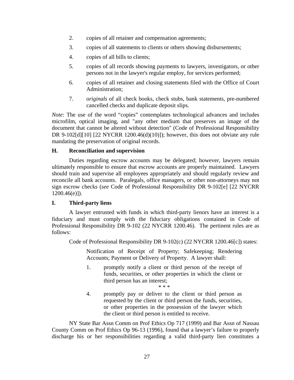- <span id="page-30-0"></span>2. copies of all retainer and compensation agreements;
- 3. copies of all statements to clients or others showing disbursements;
- 4. copies of all bills to clients;
- 5. copies of all records showing payments to lawyers, investigators, or other persons not in the lawyer's regular employ, for services performed;
- 6. copies of all retainer and closing statements filed with the Office of Court Administration;
- 7. o*riginals* of all check books, check stubs, bank statements, pre-numbered cancelled checks and duplicate deposit slips.

*Note*: The use of the word "copies" contemplates technological advances and includes microfilm, optical imaging, and "any other medium that preserves an image of the document that cannot be altered without detection" (Code of Professional Responsibility DR 9-102[d][10] [22 NYCRR 1200.46(d)(10)]); however, this does not obviate any rule mandating the preservation of original records.

#### **H. Reconciliation and supervision**

Duties regarding escrow accounts may be delegated; however, lawyers remain ultimately responsible to ensure that escrow accounts are properly maintained. Lawyers should train and supervise all employees appropriately and should regularly review and reconcile all bank accounts. Paralegals, office managers, or other non-attorneys may not sign escrow checks (*see* Code of Professional Responsibility DR 9-102[e] [22 NYCRR  $1200.46(e)$ ]).

#### **I. Third-party liens**

A lawyer entrusted with funds in which third-party lienors have an interest is a fiduciary and must comply with the fiduciary obligations contained in Code of Professional Responsibility DR 9-102 (22 NYCRR 1200.46). The pertinent rules are as follows:

Code of Professional Responsibility DR 9-102(c) (22 NYCRR 1200.46[c]) states:

Notification of Receipt of Property; Safekeeping; Rendering Accounts; Payment or Delivery of Property. A lawyer shall:

- 1. promptly notify a client or third person of the receipt of funds, securities, or other properties in which the client or third person has an interest; \* \* \*
- 4. promptly pay or deliver to the client or third person as requested by the client or third person the funds, securities, or other properties in the possession of the lawyer which the client or third person is entitled to receive.

NY State Bar Assn Comm on Prof Ethics Op 717 (1999) and Bar Assn of Nassau County Comm on Prof Ethics Op 96-13 (1996), found that a lawyer's failure to properly discharge his or her responsibilities regarding a valid third-party lien constitutes a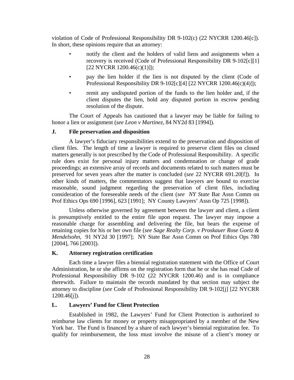<span id="page-31-0"></span>violation of Code of Professional Responsibility DR 9-102(c) (22 NYCRR 1200.46[c]). In short, these opinions require that an attorney:

- notify the client and the holders of valid liens and assignments when a recovery is received (Code of Professional Responsibility DR 9-102[c][1] [22 NYCRR 1200.46(c)(1)]);
- pay the lien holder if the lien is not disputed by the client (Code of Professional Responsibility DR 9-102[c][4] [22 NYCRR 1200.46(c)(4)]);
- remit any undisputed portion of the funds to the lien holder and, if the client disputes the lien, hold any disputed portion in escrow pending resolution of the dispute.

The Court of Appeals has cautioned that a lawyer may be liable for failing to honor a lien or assignment (*see Leon v Martinez,* 84 NY2d 83 [1994]).

#### **J. File preservation and disposition**

A lawyer's fiduciary responsibilities extend to the preservation and disposition of client files. The length of time a lawyer is required to preserve client files on closed matters generally is not prescribed by the Code of Professional Responsibility. A specific rule does exist for personal injury matters and condemnation or change of grade proceedings; an extensive array of records and documents related to such matters must be preserved for seven years after the matter is concluded (*see* 22 NYCRR 691.20[f]). In other kinds of matters, the commentators suggest that lawyers are bound to exercise reasonable, sound judgment regarding the preservation of client files, including consideration of the foreseeable needs of the client (*see NY State* Bar Assn Comm on Prof Ethics Ops 690 [1996], 623 [1991]; NY County Lawyers' Assn Op 725 [1998]).

Unless otherwise governed by agreement between the lawyer and client, a client is presumptively entitled to the entire file upon request. The lawyer may impose a reasonable charge for assembling and delivering the file, but bears the expense of retaining copies for his or her own file (*see Sage Realty Corp. v Proskauer Rose Goetz & Mendelsohn,* 91 NY2d 30 [1997]; NY State Bar Assn Comm on Prof Ethics Ops 780 [2004], 766 [2003]).

#### **K. Attorney registration certification**

Each time a lawyer files a biennial registration statement with the Office of Court Administration, he or she affirms on the registration form that he or she has read Code of Professional Responsibility DR 9-102 (22 NYCRR 1200.46) and is in compliance therewith. Failure to maintain the records mandated by that section may subject the attorney to discipline (*see* Code of Professional Responsibility DR 9-102[j] [22 NYCRR 1200.46[j]).

#### **L. Lawyers' Fund for Client Protection**

Established in 1982, the Lawyers' Fund for Client Protection is authorized to reimburse law clients for money or property misappropriated by a member of the New York bar. The Fund is financed by a share of each lawyer's biennial registration fee. To qualify for reimbursement, the loss must involve the misuse of a client's money or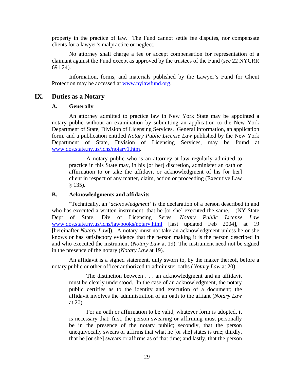<span id="page-32-0"></span>property in the practice of law. The Fund cannot settle fee disputes, nor compensate clients for a lawyer's malpractice or neglect.

No attorney shall charge a fee or accept compensation for representation of a claimant against the Fund except as approved by the trustees of the Fund (*see* 22 NYCRR 691.24).

Information, forms, and materials published by the Lawyer's Fund for Client Protection may be accessed at www.nylawfund.org.

#### **IX. Duties as a Notary**

#### **A. Generally**

An attorney admitted to practice law in New York State may be appointed a notary public without an examination by submitting an application to the New York Department of State, Division of Licensing Services. General information, an application form, and a publication entitled *Notary Public License Law* published by the New York Department of State, Division of Licensing Services, may be found at www.dos.state.ny.us/lcns/notary1.htm.

A notary public who is an attorney at law regularly admitted to practice in this State may, in his [or her] discretion, administer an oath or affirmation to or take the affidavit or acknowledgment of his [or her] client in respect of any matter, claim, action or proceeding (Executive Law § 135).

#### **B. Acknowledgments and affidavits**

"Technically, an *'acknowledgment'* is the declaration of a person described in and who has executed a written instrument, that he [or she] executed the same." (NY State Dept of State, Div of Licensing Servs, *Notary Public License Law* [www.dos.state.ny.us/lcns/lawbooks/notary.html](http://www.dos.state.ny.us/lcns/lawbooks/notary.html) [last updated Feb 2004], at 19 [hereinafter *Notary Law*]). A notary must not take an acknowledgment unless he or she knows or has satisfactory evidence that the person making it is the person described in and who executed the instrument (*Notary Law* at 19). The instrument need not be signed in the presence of the notary (*Notary Law* at 19).

An affidavit is a signed statement, duly sworn to, by the maker thereof, before a notary public or other officer authorized to administer oaths (*Notary Law* at 20).

The distinction between . . . an acknowledgment and an affidavit must be clearly understood. In the case of an acknowledgment, the notary public certifies as to the identity and execution of a document; the affidavit involves the administration of an oath to the affiant (*Notary Law*  at 20).

For an oath or affirmation to be valid, whatever form is adopted, it is necessary that: first, the person swearing or affirming must personally be in the presence of the notary public; secondly, that the person unequivocally swears or affirms that what he [or she] states is true; thirdly, that he [or she] swears or affirms as of that time; and lastly, that the person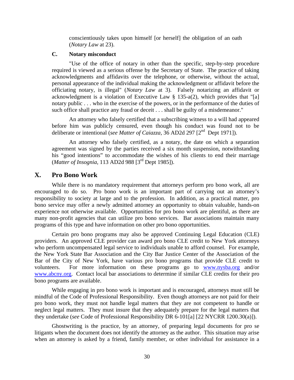conscientiously takes upon himself [or herself] the obligation of an oath (*Notary Law* at 23).

#### <span id="page-33-0"></span>**C. Notary misconduct**

"Use of the office of notary in other than the specific, step-by-step procedure required is viewed as a serious offense by the Secretary of State. The practice of taking acknowledgments and affidavits over the telephone, or otherwise, without the actual, personal appearance of the individual making the acknowledgment or affidavit before the officiating notary, is illegal" (*Notary Law* at 3). Falsely notarizing an affidavit or acknowledgment is a violation of Executive Law § 135-a(2), which provides that "[a] notary public . . . who in the exercise of the powers, or in the performance of the duties of such office shall practice any fraud or deceit . . . shall be guilty of a misdemeanor."

An attorney who falsely certified that a subscribing witness to a will had appeared before him was publicly censured, even though his conduct was found not to be deliberate or intentional (*see Matter of Caiazza*, 36 AD2d 297 [2<sup>nd</sup> Dept 1971]).

An attorney who falsely certified, as a notary, the date on which a separation agreement was signed by the parties received a six month suspension, notwithstanding his "good intentions" to accommodate the wishes of his clients to end their marriage (*Matter of Insognia,* 113 AD2d 988 [3rd Dept 1985]).

#### **X. Pro Bono Work**

While there is no mandatory requirement that attorneys perform pro bono work, all are encouraged to do so. Pro bono work is an important part of carrying out an attorney's responsibility to society at large and to the profession. In addition, as a practical matter, pro bono service may offer a newly admitted attorney an opportunity to obtain valuable, hands-on experience not otherwise available. Opportunities for pro bono work are plentiful, as there are many non-profit agencies that can utilize pro bono services. Bar associations maintain many programs of this type and have information on other pro bono opportunities.

Certain pro bono programs may also be approved Continuing Legal Education (CLE) providers. An approved CLE provider can award pro bono CLE credit to New York attorneys who perform uncompensated legal service to individuals unable to afford counsel. For example, the New York State Bar Association and the City Bar Justice Center of the Association of the Bar of the City of New York, have various pro bono programs that provide CLE credit to volunteers. For more information on these programs go to www.nysba.org and/or www.abcny.org. Contact local bar associations to determine if similar CLE credits for their pro bono programs are available.

While engaging in pro bono work is important and is encouraged, attorneys must still be mindful of the Code of Professional Responsibility. Even though attorneys are not paid for their pro bono work, they must not handle legal matters that they are not competent to handle or neglect legal matters. They must insure that they adequately prepare for the legal matters that they undertake (*see* Code of Professional Responsibility DR 6-101[a] [22 NYCRR 1200.30(a)]).

Ghostwriting is the practice, by an attorney, of preparing legal documents for pro se litigants when the document does not identify the attorney as the author. This situation may arise when an attorney is asked by a friend, family member, or other individual for assistance in a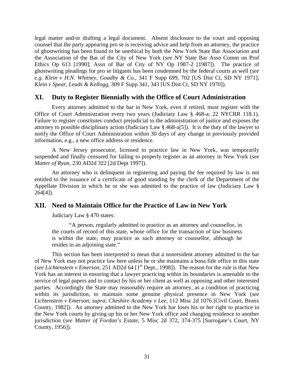<span id="page-34-0"></span>legal matter and/or drafting a legal document. Absent disclosure to the court and opposing counsel that the party appearing pro se is receiving advice and help from an attorney, the practice of ghostwriting has been found to be unethical by both the New York State Bar Association and the Association of the Bar of the City of New York (*see* NY State Bar Assn Comm on Prof Ethics Op 613 [1990]; Assn of Bar of City of NY Op 1987-2 [1987]). The practice of ghostwriting pleadings for pro se litigants has been condemned by the federal courts as well (*see e.g. Klein v H.N. Whitney, Goadby & Co.,* 341 F Supp 699, 702 [US Dist Ct, SD NY 1971]; *Klein v Spear, Leads & Kellogg,* 309 F Supp 341, 343 [US Dist Ct, SD NY 1970]).

#### **XI. Duty to Register Biennially with the Office of Court Administration**

Every attorney admitted to the bar in New York, even if retired, must register with the Office of Court Administration every two years (Judiciary Law § 468-a; 22 NYCRR 118.1). Failure to register constitutes conduct prejudicial to the administration of justice and exposes the attorney to possible disciplinary action (Judiciary Law § 468-a[5]). It is the duty of the lawyer to notify the Office of Court Administration within 30 days of any change in previously provided information, e.g., a new office address or residence.

A New Jersey prosecutor, licensed to practice law in New York, was temporarily suspended and finally censured for failing to properly register as an attorney in New York (*see Matter of Ryan,* 230 AD2d 322 [2d Dept 1997]).

An attorney who is delinquent in registering and paying the fee required by law is not entitled to the issuance of a certificate of good standing by the clerk of the Department of the Appellate Division in which he or she was admitted to the practice of law (Judiciary Law § 264[4]).

#### **XII. Need to Maintain Office for the Practice of Law in New York**

Judiciary Law § 470 states:

"A person, regularly admitted to practice as an attorney and counsellor, in the courts of record of this state, whose office for the transaction of law business is within the state, may practice as such attorney or counsellor, although he resides in an adjoining state."

This section has been interpreted to mean that a nonresident attorney admitted to the bar of New York may not practice law here unless he or she maintains a bona fide office in this state (*see Lichtenstein v Emerson*, 251 AD2d 64 [1<sup>st</sup> Dept., 1998]). The reason for the rule is that New York has an interest in ensuring that a lawyer practicing within its boundaries is amenable to the service of legal papers and to contact by his or her client as well as opposing and other interested parties. Accordingly the State may reasonably require an attorney, as a condition of practicing within its jurisdiction, to maintain some genuine physical presence in New York (*see Lichtenstein v Emerson, supra*; *Cheshire Academy v Lee*, 112 Misc 2d 1076 [Civil Court, Bronx County, 1982]). An attorney admitted to the New York bar loses his or her right to practice in the New York courts by giving up his or her New York office and changing residence to another jurisdiction (*see Matter of Fordan's Estate*, 5 Misc 2d 372, 374-375 [Surrogate's Court, NY County, 1956]).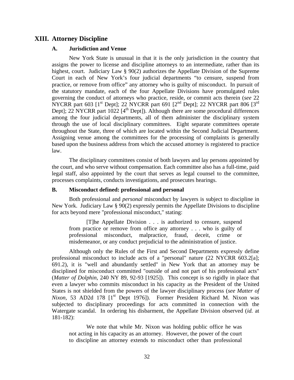#### <span id="page-35-0"></span>**XIII. Attorney Discipline**

#### **A. Jurisdiction and Venue**

New York State is unusual in that it is the only jurisdiction in the country that assigns the power to license and discipline attorneys to an intermediate, rather than its highest, court. Judiciary Law § 90(2) authorizes the Appellate Division of the Supreme Court in each of New York's four judicial departments "to censure, suspend from practice, or remove from office" any attorney who is guilty of misconduct. In pursuit of the statutory mandate, each of the four Appellate Divisions have promulgated rules governing the conduct of attorneys who practice, reside, or commit acts therein (*see* 22 NYCRR part 603  $[1^{\text{st}}$  Dept]; 22 NYCRR part 691  $[2^{\text{nd}}$  Dept]; 22 NYCRR part 806  $[3^{\text{rd}}$ Dept]; 22 NYCRR part  $1022$  [4<sup>th</sup> Dept]). Although there are some procedural differences among the four judicial departments, all of them administer the disciplinary system through the use of local disciplinary committees. Eight separate committees operate throughout the State, three of which are located within the Second Judicial Department. Assigning venue among the committees for the processing of complaints is generally based upon the business address from which the accused attorney is registered to practice law.

The disciplinary committees consist of both lawyers and lay persons appointed by the court, and who serve without compensation. Each committee also has a full-time, paid legal staff, also appointed by the court that serves as legal counsel to the committee, processes complaints, conducts investigations, and prosecutes hearings.

#### **B. Misconduct defined: professional and personal**

Both professional and *personal* misconduct by lawyers is subject to discipline in New York. Judiciary Law § 90(2) expressly permits the Appellate Divisions to discipline for acts beyond mere "professional misconduct," stating:

[T]he Appellate Division . . . is authorized to censure, suspend from practice or remove from office any attorney . . . who is guilty of professional misconduct, malpractice, fraud, deceit, crime or misdemeanor, or any conduct prejudicial to the administration of justice.

Although only the Rules of the First and Second Departments expressly define professional misconduct to include acts of a "personal" nature (22 NYCRR 603.2[a]; 691.2), it is "well and abundantly settled" in New York that an attorney may be disciplined for misconduct committed "outside of and not part of his professional acts" (*Matter of Dolphin,* 240 NY 89, 92-93 [1925]). This concept is so rigidly in place that even a lawyer who commits misconduct in his capacity as the President of the United States is not shielded from the powers of the lawyer disciplinary process (*see Matter of Nixon*, 53 AD2d 178 [1<sup>st</sup> Dept 1976]). Former President Richard M. Nixon was subjected to disciplinary proceedings for acts committed in connection with the Watergate scandal. In ordering his disbarment, the Appellate Division observed (*id.* at 181-182):

We note that while Mr. Nixon was holding public office he was not acting in his capacity as an attorney. However, the power of the court to discipline an attorney extends to misconduct other than professional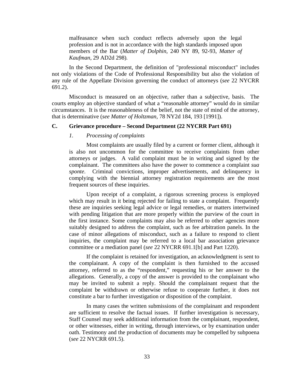<span id="page-36-0"></span>malfeasance when such conduct reflects adversely upon the legal profession and is not in accordance with the high standards imposed upon members of the Bar (*Matter of Dolphin,* 240 NY 89, 92-93, *Matter of Kaufman,* 29 AD2d 298)*.*

In the Second Department, the definition of "professional misconduct" includes not only violations of the Code of Professional Responsibility but also the violation of any rule of the Appellate Division governing the conduct of attorneys (*see* 22 NYCRR 691.2).

Misconduct is measured on an objective, rather than a subjective, basis. The courts employ an objective standard of what a "reasonable attorney" would do in similar circumstances. It is the reasonableness of the belief, not the state of mind of the attorney, that is determinative (*see Matter of Holtzman,* 78 NY2d 184, 193 [1991]).

#### **C. Grievance procedure – Second Department (22 NYCRR Part 691)**

#### *1. Processing of complaints*

Most complaints are usually filed by a current or former client, although it is also not uncommon for the committee to receive complaints from other attorneys or judges. A valid complaint must be in writing and signed by the complainant. The committees also have the power to commence a complaint *sua sponte*. Criminal convictions, improper advertisements, and delinquency in complying with the biennial attorney registration requirements are the most frequent sources of these inquiries.

Upon receipt of a complaint, a rigorous screening process is employed which may result in it being rejected for failing to state a complaint. Frequently these are inquiries seeking legal advice or legal remedies, or matters intertwined with pending litigation that are more properly within the purview of the court in the first instance. Some complaints may also be referred to other agencies more suitably designed to address the complaint, such as fee arbitration panels. In the case of minor allegations of misconduct, such as a failure to respond to client inquiries, the complaint may be referred to a local bar association grievance committee or a mediation panel (*see* 22 NYCRR 691.1[b] and Part 1220).

If the complaint is retained for investigation, an acknowledgment is sent to the complainant. A copy of the complaint is then furnished to the accused attorney, referred to as the "respondent," requesting his or her answer to the allegations. Generally, a copy of the answer is provided to the complainant who may be invited to submit a reply. Should the complainant request that the complaint be withdrawn or otherwise refuse to cooperate further, it does not constitute a bar to further investigation or disposition of the complaint.

In many cases the written submissions of the complainant and respondent are sufficient to resolve the factual issues. If further investigation is necessary, Staff Counsel may seek additional information from the complainant, respondent, or other witnesses, either in writing, through interviews, or by examination under oath. Testimony and the production of documents may be compelled by subpoena (*see* 22 NYCRR 691.5).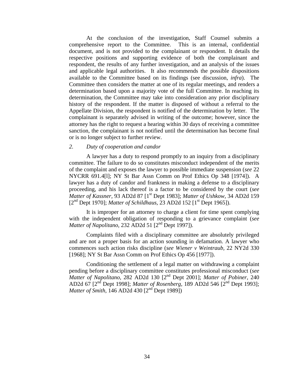<span id="page-37-0"></span>At the conclusion of the investigation, Staff Counsel submits a comprehensive report to the Committee. This is an internal, confidential document, and is not provided to the complainant or respondent. It details the respective positions and supporting evidence of both the complainant and respondent, the results of any further investigation, and an analysis of the issues and applicable legal authorities. It also recommends the possible dispositions available to the Committee based on its findings (see discussion, *infra*). The Committee then considers the matter at one of its regular meetings, and renders a determination based upon a majority vote of the full Committee. In reaching its determination, the Committee may take into consideration any prior disciplinary history of the respondent. If the matter is disposed of without a referral to the Appellate Division, the respondent is notified of the determination by letter. The complainant is separately advised in writing of the outcome; however, since the attorney has the right to request a hearing within 30 days of receiving a committee sanction, the complainant is not notified until the determination has become final or is no longer subject to further review.

#### *2. Duty of cooperation and candor*

A lawyer has a duty to respond promptly to an inquiry from a disciplinary committee. The failure to do so constitutes misconduct independent of the merits of the complaint and exposes the lawyer to possible immediate suspension (*see* 22 NYCRR 691.4[l]; NY St Bar Assn Comm on Prof Ethics Op 348 [1974]). A lawyer has a duty of candor and frankness in making a defense to a disciplinary proceeding, and his lack thereof is a factor to be considered by the court (*see Matter of Kassner,* 93 AD2d 87 [1st Dept 1983]; *Matter of Ushkow,* 34 AD2d 159 [2<sup>nd</sup> Dept 1970]; *Matter of Schildhaus*, 23 AD2d 152 [1<sup>st</sup> Dept 1965]).

It is improper for an attorney to charge a client for time spent complying with the independent obligation of responding to a grievance complaint (*see Matter of Napolitano,* 232 AD2d 51 [2<sup>nd</sup> Dept 1997]).

Complaints filed with a disciplinary committee are absolutely privileged and are not a proper basis for an action sounding in defamation. A lawyer who commences such action risks discipline (*see Wiener v Weintraub,* 22 NY2d 330 [1968]; NY St Bar Assn Comm on Prof Ethics Op 456 [1977]).

Conditioning the settlement of a legal matter on withdrawing a complaint pending before a disciplinary committee constitutes professional misconduct (*see Matter of Napolitano,* 282 AD2d 130 [2nd Dept 2001]; *Matter of Pobiner,* 240 AD2d 67 [2nd Dept 1998]; *Matter of Rosenberg,* 189 AD2d 546 [2nd Dept 1993]; *Matter of Smith,* 146 AD2d 430 [2<sup>nd</sup> Dept 1989])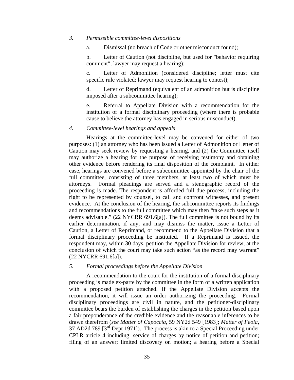#### <span id="page-38-0"></span>*3. Permissible committee-level dispositions*

a. Dismissal (no breach of Code or other misconduct found);

b. Letter of Caution (not discipline, but used for "behavior requiring comment"; lawyer may request a hearing);

c. Letter of Admonition (considered discipline; letter must cite specific rule violated; lawyer may request hearing to contest);

d. Letter of Reprimand (equivalent of an admonition but is discipline imposed after a subcommittee hearing);

e. Referral to Appellate Division with a recommendation for the institution of a formal disciplinary proceeding (where there is probable cause to believe the attorney has engaged in serious misconduct).

#### *4. Committee-level hearings and appeals*

Hearings at the committee-level may be convened for either of two purposes: (1) an attorney who has been issued a Letter of Admonition or Letter of Caution may seek review by requesting a hearing, and (2) the Committee itself may authorize a hearing for the purpose of receiving testimony and obtaining other evidence before rendering its final disposition of the complaint. In either case, hearings are convened before a subcommittee appointed by the chair of the full committee, consisting of three members, at least two of which must be attorneys. Formal pleadings are served and a stenographic record of the proceeding is made. The respondent is afforded full due process, including the right to be represented by counsel, to call and confront witnesses, and present evidence. At the conclusion of the hearing, the subcommittee reports its findings and recommendations to the full committee which may then "take such steps as it deems advisable." (22 NYCRR 691.6[a]). The full committee is not bound by its earlier determination, if any, and may dismiss the matter, issue a Letter of Caution, a Letter of Reprimand, or recommend to the Appellate Division that a formal disciplinary proceeding be instituted. If a Reprimand is issued, the respondent may, within 30 days, petition the Appellate Division for review, at the conclusion of which the court may take such action "as the record may warrant" (22 NYCRR 691.6[a]).

#### *5. Formal proceedings before the Appellate Division*

A recommendation to the court for the institution of a formal disciplinary proceeding is made ex-parte by the committee in the form of a written application with a proposed petition attached. If the Appellate Division accepts the recommendation, it will issue an order authorizing the proceeding. Formal disciplinary proceedings are civil in nature, and the petitioner-disciplinary committee bears the burden of establishing the charges in the petition based upon a fair preponderance of the credible evidence and the reasonable inferences to be drawn therefrom (*see Matter of Capoccia,* 59 NY2d 549 [1983]; *Matter of Feola,*  37 AD2d 789  $[3^{rd}$  Dept 1971]). The process is akin to a Special Proceeding under CPLR article 4 including: service of charges by notice of petition and petition; filing of an answer; limited discovery on motion; a hearing before a Special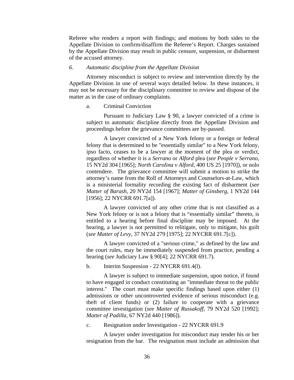<span id="page-39-0"></span>Referee who renders a report with findings; and motions by both sides to the Appellate Division to confirm/disaffirm the Referee's Report. Charges sustained by the Appellate Division may result in public censure, suspension, or disbarment of the accused attorney.

#### *6. Automatic discipline from the Appellate Division*

Attorney misconduct is subject to review and intervention directly by the Appellate Division in one of several ways detailed below. In these instances, it may not be necessary for the disciplinary committee to review and dispose of the matter as in the case of ordinary complaints.

#### a. Criminal Conviction

Pursuant to Judiciary Law § 90, a lawyer convicted of a crime is subject to automatic discipline directly from the Appellate Division and proceedings before the grievance committees are by-passed.

A lawyer convicted of a New York felony or a foreign or federal felony that is determined to be "essentially similar" to a New York felony, ipso facto, ceases to be a lawyer at the moment of the plea or verdict, regardless of whether it is a *Serrano* or *Alford* plea (*see People v Serrano,*  15 NY2d 304 [1965]; *North Carolina v Alford,* 400 US 25 [1970]), or nolo contendere. The grievance committee will submit a motion to strike the attorney's name from the Roll of Attorneys and Counselors-at-Law, which is a ministerial formality recording the existing fact of disbarment (*see Matter of Barash,* 20 NY2d 154 [1967]; *Matter of Ginsberg,* 1 NY2d 144 [1956]; 22 NYCRR 691.7[a]).

A lawyer convicted of any other crime that is not classified as a New York felony or is not a felony that is "essentially similar" thereto, is entitled to a hearing before final discipline may be imposed. At the hearing, a lawyer is not permitted to relitigate, only to mitigate, his guilt (*see Matter of Levy,* 37 NY2d 279 [1975]; 22 NYCRR 691.7[c]).

A lawyer convicted of a "serious crime," as defined by the law and the court rules, may be immediately suspended from practice, pending a hearing (*see* Judiciary Law § 90[4]; 22 NYCRR 691.7).

b. Interim Suspension - 22 NYCRR 691.4(l).

A lawyer is subject to immediate suspension, upon notice, if found to have engaged in conduct constituting an "immediate threat to the public interest." The court must make specific findings based upon either (1) admissions or other uncontroverted evidence of serious misconduct (e.g. theft of client funds) or (2) failure to cooperate with a grievance committee investigation (*see Matter of Russakoff,* 79 NY2d 520 [1992]; *Matter of Padilla,* 67 NY2d 440 [1986]).

c. Resignation under Investigation - 22 NYCRR 691.9

A lawyer under investigation for misconduct may tender his or her resignation from the bar. The resignation must include an admission that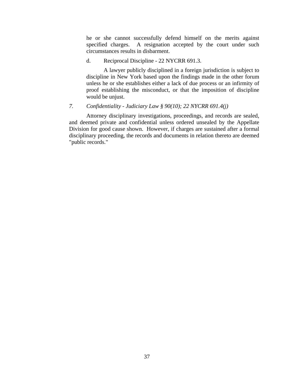<span id="page-40-0"></span>he or she cannot successfully defend himself on the merits against specified charges. A resignation accepted by the court under such circumstances results in disbarment.

d. Reciprocal Discipline - 22 NYCRR 691.3.

A lawyer publicly disciplined in a foreign jurisdiction is subject to discipline in New York based upon the findings made in the other forum unless he or she establishes either a lack of due process or an infirmity of proof establishing the misconduct, or that the imposition of discipline would be unjust.

*7. Confidentiality - Judiciary Law § 90(10); 22 NYCRR 691.4(j)* 

Attorney disciplinary investigations, proceedings, and records are sealed, and deemed private and confidential unless ordered unsealed by the Appellate Division for good cause shown. However, if charges are sustained after a formal disciplinary proceeding, the records and documents in relation thereto are deemed "public records."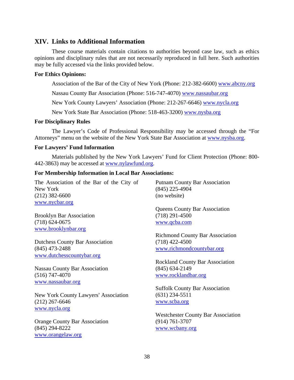#### <span id="page-41-0"></span>**XIV. Links to Additional Information**

These course materials contain citations to authorities beyond case law, such as ethics opinions and disciplinary rules that are not necessarily reproduced in full here. Such authorities may be fully accessed via the links provided below.

#### **For Ethics Opinions:**

Association of the Bar of the City of New York (Phone: 212-382-6600) www.abcny.org

Nassau County Bar Association (Phone: 516-747-4070) www.nassaubar.org

New York County Lawyers' Association (Phone: 212-267-6646) www.nycla.org

New York State Bar Association (Phone: 518-463-3200) www.nysba.org

#### **For Disciplinary Rules**

The Lawyer's Code of Professional Responsibility may be accessed through the "For Attorneys" menu on the website of the New York State Bar Association at www.nysba.org.

#### **For Lawyers' Fund Information**

Materials published by the New York Lawyers' Fund for Client Protection (Phone: 800- 442-3863) may be accessed at [www.nylawfund.org.](http://www.nylawfund.org/)

#### **For Membership Information in Local Bar Associations:**

The Association of the Bar of the City of New York (212) 382-6600 www.nycbar.org

Brooklyn Bar Association (718) 624-0675 www.brooklynbar.org

Dutchess County Bar Association (845) 473-2488 www.dutchesscountybar.org

Nassau County Bar Association (516) 747-4070 www.nassaubar.org

New York County Lawyers' Association (212) 267-6646 www.nycla.org

Orange County Bar Association (845) 294-8222 www.orangelaw.org

Putnam County Bar Association (845) 225-4904 (no website)

Queens County Bar Association (718) 291-4500 www.qcba.com

Richmond County Bar Association (718) 422-4500 www.richmondcountybar.org

Rockland County Bar Association (845) 634-2149 www.rocklandbar.org

Suffolk County Bar Association (631) 234-5511 www.scba.org

Westchester County Bar Association (914) 761-3707 www.wcbany.org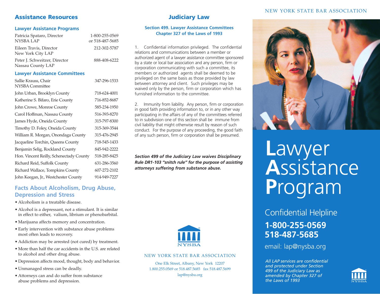#### **Assistance Resources**

#### **Lawyer Assistance Programs**

| Patricia Spataro, Director<br><b>NYSBA LAP</b>     | 1-800-255-0569<br>or 518-487-5685 |
|----------------------------------------------------|-----------------------------------|
| Eileen Travis, Director<br>New York City LAP       | 212-302-5787                      |
| Peter J. Schweitzer, Director<br>Nassau County LAP | 888-408-6222                      |
| <b>Lawyer Assistance Committees</b>                |                                   |
| Sallie Krauss, Chair<br>NYSBA Committee            | 347-296-1533                      |
| John Urban, Brooklyn County                        | 718-624-4001                      |
| Katherine S. Bifaro, Erie County                   | 716-852-8687                      |
| John Crowe, Monroe County                          | 585-234-1950                      |
| Carol Hoffman, Nassau County                       | 516-393-8270                      |
| James Hyde, Oneida County                          | 315-797-8300                      |
| Timothy D. Foley, Oneida County                    | 315-369-3544                      |
| William R. Morgan, Onondaga County                 | 315-476-2945                      |
| Jacqueline Torchin, Queens County                  | 718-545-1433                      |
| Benjamin Selig, Rockland County                    | 845-942-2222                      |
| Hon. Vincent Reilly, Schenectady County            | 518-285-8425                      |
| Richard Reid, Suffolk County                       | 631-286-3560                      |
| Richard Wallace, Tompkins County                   | 607-272-2102                      |
| John Keegan, Jr., Westchester County               | 914-949-7227                      |

### **Judiciary Law**

#### **Section 499. Lawyer Assistance Committees Chapter 327 of the Laws of 1993**

1. Confidential information privileged. The confidential relations and communications between a member or authorized agent of a lawyer assistance committee sponsored by a state or local bar association and any person, firm or corporation communicating with such a committee, its members or authorized agents shall be deemed to be privileged on the same basis as those provided by law between attorney and client. Such privileges may be waived only by the person, firm or corporation which has furnished information to the committee.

2. Immunity from liability. Any person, firm or corporation in good faith providing information to, or in any other way participating in the affairs of any of the committees referred to in subdivision one of this section shall be immune from civil liability that might otherwise result by reason of such conduct. For the purpose of any proceeding, the good faith of any such person, firm or corporation shall be presumed.

*Section 499 of the Judiciary Law waives Disciplinary Rule DR1-103 "snitch rule" for the purpose of assisting attorneys suffering from substance abuse.*



#### NEW YORK STATE BAR ASSOCIATION

One Elk Street, Albany, New York 12207 1.800.255.0569 or 518.487.5685 fax 518.487.5699 lap@nysba.org

#### NEW YORK STATE BAR ASSOCIATION



# **L**awyer **A**ssistance **P**rogram

Confidential Helpline **1-800-255-0569 518-487-5685**

email: lap@nysba.org

*All LAP services are confidential and protected under Section 499 of the Judiciary Law as amended by Chapter 327 of the Laws of 1993*



#### • Marijuana affects memory and concentration. • Early intervention with substance abuse problems most often leads to recovery.

**Depression and Stress**  • Alcoholism is a treatable disease.

• Addiction may be arrested (not cured) by treatment.

**Facts About Alcoholism, Drug Abuse,**

• Alcohol is a depressant, not a stimulant. It is similar in effect to either, valium, librium or phenobarbital.

- More than half the car accidents in the U.S. are related to alcohol and other drug abuse.
- Depression affects mood, thought, body and behavior.
- Unmanaged stress can be deadly.
- Attorneys can and do suffer from substance abuse problems and depression.